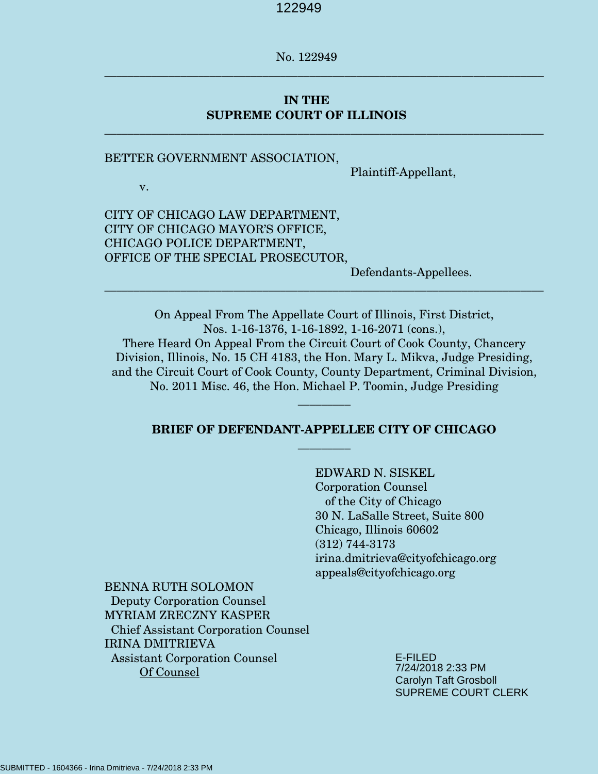No. 122949

**\_\_\_\_\_\_\_\_\_\_\_\_\_\_\_\_\_\_\_\_\_\_\_\_\_\_\_\_\_\_\_\_\_\_\_\_\_\_\_\_\_\_\_\_\_\_\_\_\_\_\_\_\_\_\_\_\_\_\_\_\_\_\_\_\_\_\_\_\_\_\_\_\_\_\_** 

\_\_\_\_\_\_\_\_\_\_\_\_\_\_\_\_\_\_\_\_\_\_\_\_\_\_\_\_\_\_\_\_\_\_\_\_\_\_\_\_\_\_\_\_\_\_\_\_\_\_\_\_\_\_\_\_\_\_\_\_\_\_\_\_\_\_\_\_\_\_\_\_\_\_\_

# **IN THE SUPREME COURT OF ILLINOIS**

#### BETTER GOVERNMENT ASSOCIATION,

Plaintiff-Appellant,

v.

CITY OF CHICAGO LAW DEPARTMENT, CITY OF CHICAGO MAYOR'S OFFICE, CHICAGO POLICE DEPARTMENT, OFFICE OF THE SPECIAL PROSECUTOR,

Defendants-Appellees.

On Appeal From The Appellate Court of Illinois, First District, Nos. 1-16-1376, 1-16-1892, 1-16-2071 (cons.), There Heard On Appeal From the Circuit Court of Cook County, Chancery Division, Illinois, No. 15 CH 4183, the Hon. Mary L. Mikva, Judge Presiding, and the Circuit Court of Cook County, County Department, Criminal Division, No. 2011 Misc. 46, the Hon. Michael P. Toomin, Judge Presiding

\_\_\_\_\_\_\_\_\_\_\_\_\_\_\_\_\_\_\_\_\_\_\_\_\_\_\_\_\_\_\_\_\_\_\_\_\_\_\_\_\_\_\_\_\_\_\_\_\_\_\_\_\_\_\_\_\_\_\_\_\_\_\_\_\_\_\_\_\_\_\_\_\_\_\_

## **BRIEF OF DEFENDANT-APPELLEE CITY OF CHICAGO \_\_\_\_\_\_\_\_\_**

**\_\_\_\_\_\_\_\_\_**

 EDWARD N. SISKEL Corporation Counsel of the City of Chicago 30 N. LaSalle Street, Suite 800 Chicago, Illinois 60602 (312) 744-3173 irina.dmitrieva@cityofchicago.org appeals@cityofchicago.org

BENNA RUTH SOLOMON Deputy Corporation Counsel MYRIAM ZRECZNY KASPER Chief Assistant Corporation Counsel IRINA DMITRIEVA Assistant Corporation Counsel Of Counsel

E-FILED 7/24/2018 2:33 PM Carolyn Taft Grosboll SUPREME COURT CLERK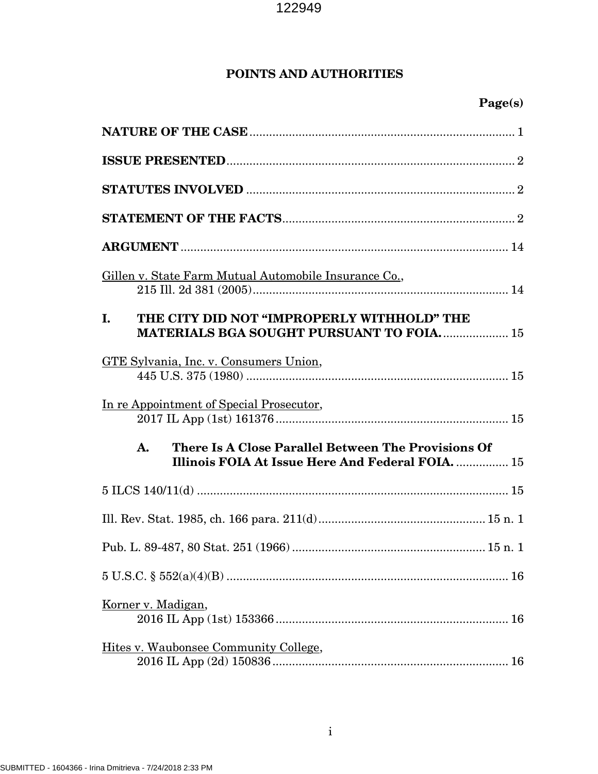# **POINTS AND AUTHORITIES**

# **Page(s)**

| Gillen v. State Farm Mutual Automobile Insurance Co.,                                                          |
|----------------------------------------------------------------------------------------------------------------|
| THE CITY DID NOT "IMPROPERLY WITHHOLD" THE<br>I.<br><b>MATERIALS BGA SOUGHT PURSUANT TO FOIA 15</b>            |
| GTE Sylvania, Inc. v. Consumers Union,                                                                         |
| In re Appointment of Special Prosecutor,                                                                       |
| There Is A Close Parallel Between The Provisions Of<br>A.<br>Illinois FOIA At Issue Here And Federal FOIA.  15 |
|                                                                                                                |
|                                                                                                                |
|                                                                                                                |
|                                                                                                                |
| Korner v. Madigan,                                                                                             |
| Hites v. Waubonsee Community College,                                                                          |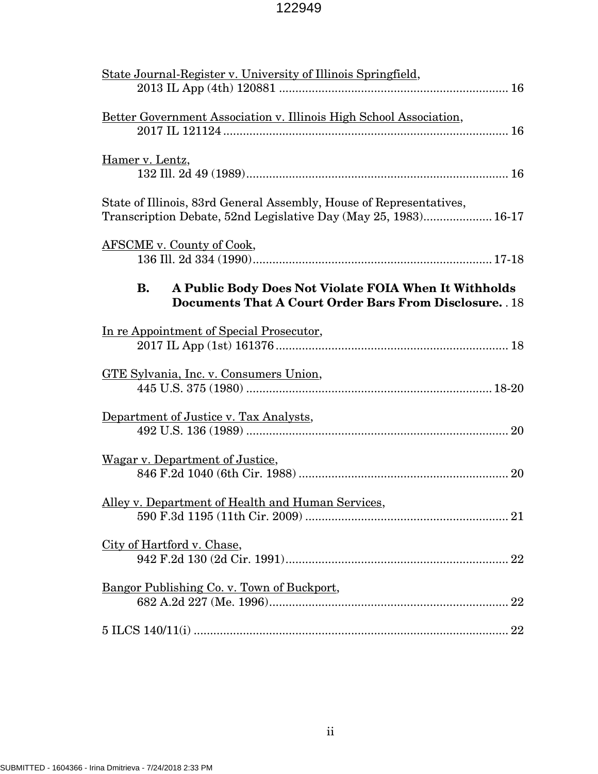| State Journal-Register v. University of Illinois Springfield,                                                                          |
|----------------------------------------------------------------------------------------------------------------------------------------|
| Better Government Association v. Illinois High School Association,                                                                     |
| Hamer v. Lentz,                                                                                                                        |
| State of Illinois, 83rd General Assembly, House of Representatives,<br>Transcription Debate, 52nd Legislative Day (May 25, 1983) 16-17 |
| <b>AFSCME</b> v. County of Cook,                                                                                                       |
| A Public Body Does Not Violate FOIA When It Withholds<br>В.<br><b>Documents That A Court Order Bars From Disclosure.</b> . 18          |
| In re Appointment of Special Prosecutor,                                                                                               |
| GTE Sylvania, Inc. v. Consumers Union,                                                                                                 |
| Department of Justice v. Tax Analysts,                                                                                                 |
| Wagar v. Department of Justice,                                                                                                        |
| Alley v. Department of Health and Human Services,                                                                                      |
| City of Hartford v. Chase,                                                                                                             |
| Bangor Publishing Co. v. Town of Buckport,                                                                                             |
|                                                                                                                                        |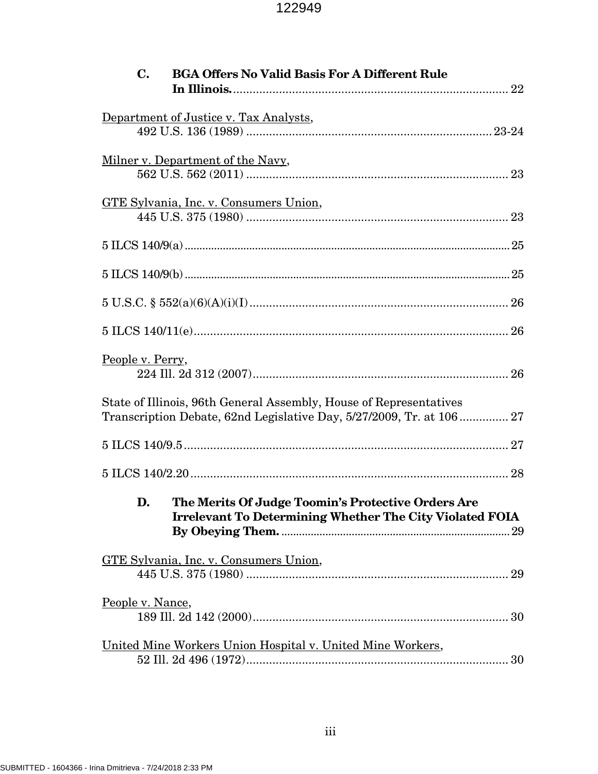| <b>BGA Offers No Valid Basis For A Different Rule</b><br>$\mathbf{C}$ .                                                                    |  |
|--------------------------------------------------------------------------------------------------------------------------------------------|--|
| Department of Justice v. Tax Analysts,                                                                                                     |  |
| <u>Milner v. Department of the Navy</u> ,                                                                                                  |  |
| GTE Sylvania, Inc. v. Consumers Union,                                                                                                     |  |
|                                                                                                                                            |  |
|                                                                                                                                            |  |
|                                                                                                                                            |  |
|                                                                                                                                            |  |
| People v. Perry,                                                                                                                           |  |
| State of Illinois, 96th General Assembly, House of Representatives<br>Transcription Debate, 62nd Legislative Day, 5/27/2009, Tr. at 106 27 |  |
|                                                                                                                                            |  |
|                                                                                                                                            |  |
| D. The Merits Of Judge Toomin's Protective Orders Are<br><b>Irrelevant To Determining Whether The City Violated FOIA</b>                   |  |
| GTE Sylvania, Inc. v. Consumers Union,                                                                                                     |  |
| People v. Nance,                                                                                                                           |  |
| United Mine Workers Union Hospital v. United Mine Workers,                                                                                 |  |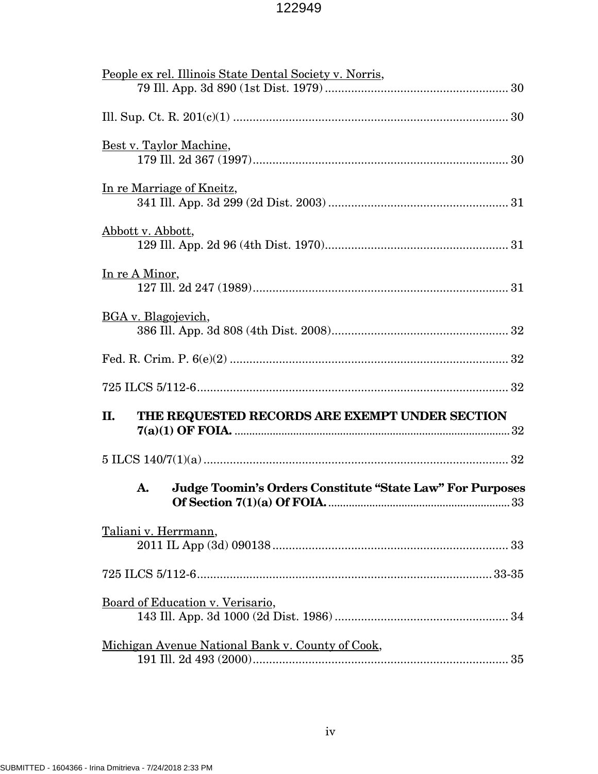| People ex rel. Illinois State Dental Society v. Norris,                      |
|------------------------------------------------------------------------------|
|                                                                              |
|                                                                              |
| Best v. Taylor Machine,                                                      |
| In re Marriage of Kneitz,                                                    |
| Abbott v. Abbott,                                                            |
| In re A Minor,                                                               |
| BGA v. Blagojevich,                                                          |
|                                                                              |
|                                                                              |
| THE REQUESTED RECORDS ARE EXEMPT UNDER SECTION<br>П.                         |
|                                                                              |
| <b>Judge Toomin's Orders Constitute "State Law" For Purposes</b><br>A.<br>33 |
| Taliani v. Herrmann,                                                         |
|                                                                              |
| Board of Education v. Verisario,                                             |
| Michigan Avenue National Bank v. County of Cook,                             |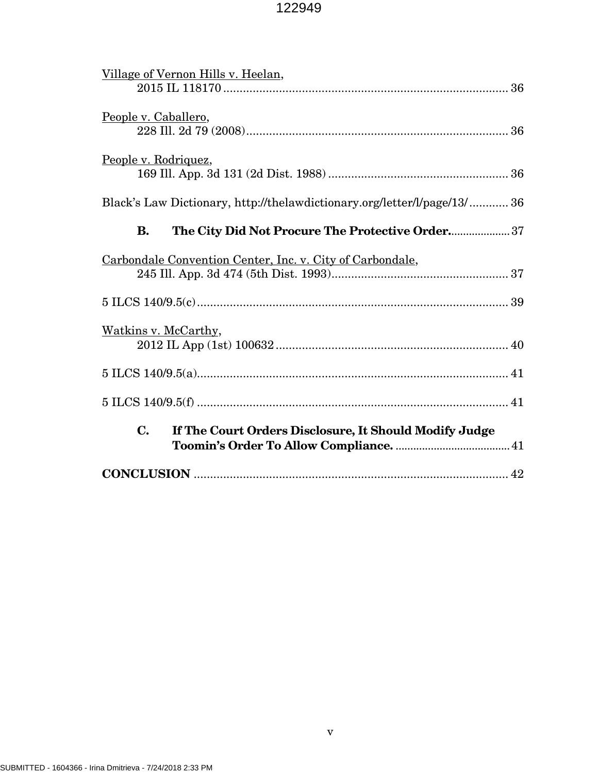| Village of Vernon Hills v. Heelan,                                       |
|--------------------------------------------------------------------------|
| People v. Caballero,                                                     |
| People v. Rodriquez,                                                     |
| Black's Law Dictionary, http://thelawdictionary.org/letter/l/page/13/ 36 |
| The City Did Not Procure The Protective Order 37<br><b>B.</b>            |
| Carbondale Convention Center, Inc. v. City of Carbondale,                |
|                                                                          |
| Watkins v. McCarthy,                                                     |
|                                                                          |
|                                                                          |
| $\mathbf{C}$ .<br>If The Court Orders Disclosure, It Should Modify Judge |
|                                                                          |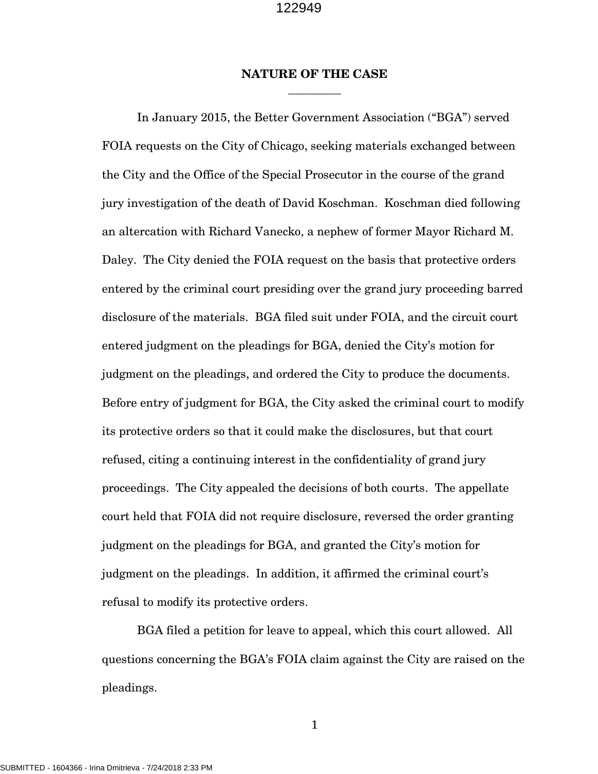## **NATURE OF THE CASE \_\_\_\_\_\_\_\_\_**

 In January 2015, the Better Government Association ("BGA") served FOIA requests on the City of Chicago, seeking materials exchanged between the City and the Office of the Special Prosecutor in the course of the grand jury investigation of the death of David Koschman. Koschman died following an altercation with Richard Vanecko, a nephew of former Mayor Richard M. Daley. The City denied the FOIA request on the basis that protective orders entered by the criminal court presiding over the grand jury proceeding barred disclosure of the materials. BGA filed suit under FOIA, and the circuit court entered judgment on the pleadings for BGA, denied the City's motion for judgment on the pleadings, and ordered the City to produce the documents. Before entry of judgment for BGA, the City asked the criminal court to modify its protective orders so that it could make the disclosures, but that court refused, citing a continuing interest in the confidentiality of grand jury proceedings. The City appealed the decisions of both courts. The appellate court held that FOIA did not require disclosure, reversed the order granting judgment on the pleadings for BGA, and granted the City's motion for judgment on the pleadings. In addition, it affirmed the criminal court's refusal to modify its protective orders.

 BGA filed a petition for leave to appeal, which this court allowed. All questions concerning the BGA's FOIA claim against the City are raised on the pleadings.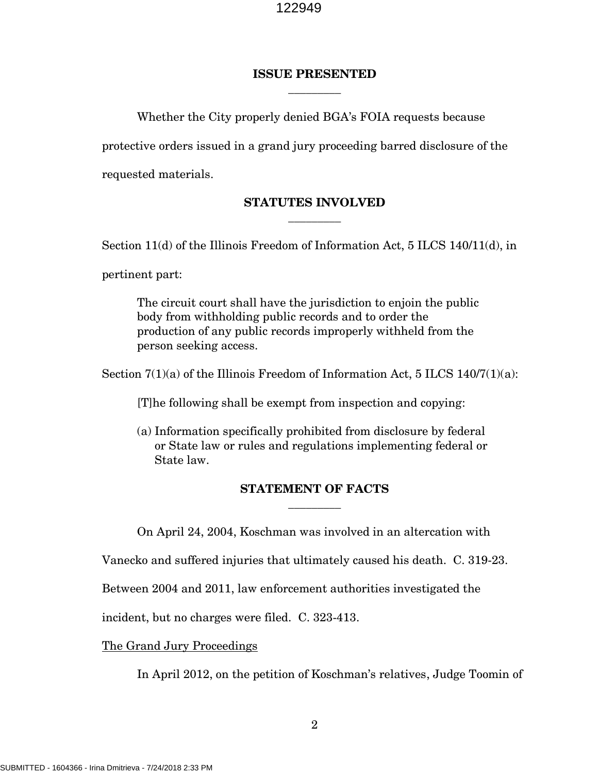## **ISSUE PRESENTED**  $\overline{\phantom{a}}$   $\overline{\phantom{a}}$

Whether the City properly denied BGA's FOIA requests because

protective orders issued in a grand jury proceeding barred disclosure of the

requested materials.

# **STATUTES INVOLVED**  $\overline{\phantom{a}}$

Section 11(d) of the Illinois Freedom of Information Act, 5 ILCS 140/11(d), in

pertinent part:

The circuit court shall have the jurisdiction to enjoin the public body from withholding public records and to order the production of any public records improperly withheld from the person seeking access.

Section  $7(1)(a)$  of the Illinois Freedom of Information Act, 5 ILCS 140/7 $(1)(a)$ :

[T]he following shall be exempt from inspection and copying:

(a) Information specifically prohibited from disclosure by federal or State law or rules and regulations implementing federal or State law.

# **STATEMENT OF FACTS**  $\overline{\phantom{a}}$

On April 24, 2004, Koschman was involved in an altercation with

Vanecko and suffered injuries that ultimately caused his death. C. 319-23.

Between 2004 and 2011, law enforcement authorities investigated the

incident, but no charges were filed. C. 323-413.

The Grand Jury Proceedings

In April 2012, on the petition of Koschman's relatives, Judge Toomin of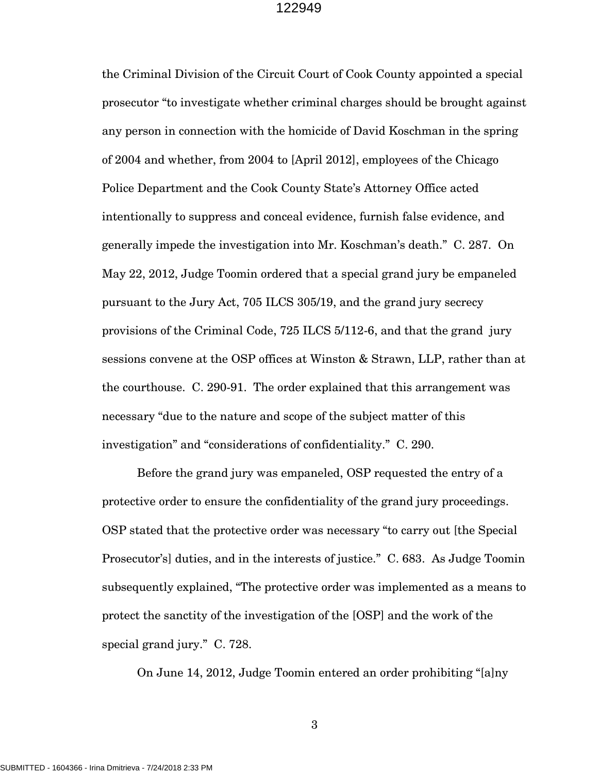the Criminal Division of the Circuit Court of Cook County appointed a special prosecutor "to investigate whether criminal charges should be brought against any person in connection with the homicide of David Koschman in the spring of 2004 and whether, from 2004 to [April 2012], employees of the Chicago Police Department and the Cook County State's Attorney Office acted intentionally to suppress and conceal evidence, furnish false evidence, and generally impede the investigation into Mr. Koschman's death." C. 287. On May 22, 2012, Judge Toomin ordered that a special grand jury be empaneled pursuant to the Jury Act, 705 ILCS 305/19, and the grand jury secrecy provisions of the Criminal Code, 725 ILCS 5/112-6, and that the grand jury sessions convene at the OSP offices at Winston & Strawn, LLP, rather than at the courthouse. C. 290-91. The order explained that this arrangement was necessary "due to the nature and scope of the subject matter of this investigation" and "considerations of confidentiality." C. 290.

 Before the grand jury was empaneled, OSP requested the entry of a protective order to ensure the confidentiality of the grand jury proceedings. OSP stated that the protective order was necessary "to carry out [the Special Prosecutor's] duties, and in the interests of justice." C. 683. As Judge Toomin subsequently explained, "The protective order was implemented as a means to protect the sanctity of the investigation of the [OSP] and the work of the special grand jury." C. 728.

On June 14, 2012, Judge Toomin entered an order prohibiting "[a]ny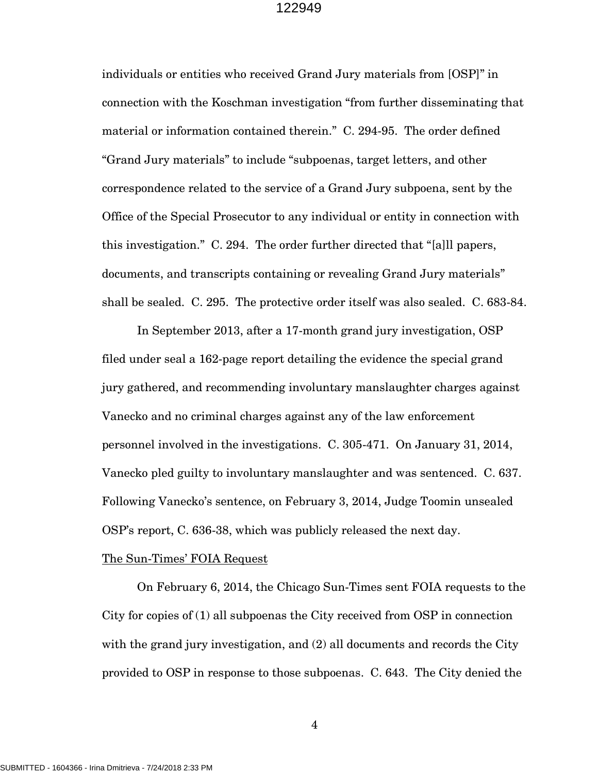individuals or entities who received Grand Jury materials from [OSP]" in connection with the Koschman investigation "from further disseminating that material or information contained therein." C. 294-95. The order defined "Grand Jury materials" to include "subpoenas, target letters, and other correspondence related to the service of a Grand Jury subpoena, sent by the Office of the Special Prosecutor to any individual or entity in connection with this investigation." C. 294. The order further directed that "[a]ll papers, documents, and transcripts containing or revealing Grand Jury materials" shall be sealed. C. 295. The protective order itself was also sealed. C. 683-84.

 In September 2013, after a 17-month grand jury investigation, OSP filed under seal a 162-page report detailing the evidence the special grand jury gathered, and recommending involuntary manslaughter charges against Vanecko and no criminal charges against any of the law enforcement personnel involved in the investigations. C. 305-471. On January 31, 2014, Vanecko pled guilty to involuntary manslaughter and was sentenced. C. 637. Following Vanecko's sentence, on February 3, 2014, Judge Toomin unsealed OSP's report, C. 636-38, which was publicly released the next day.

### The Sun-Times' FOIA Request

 On February 6, 2014, the Chicago Sun-Times sent FOIA requests to the City for copies of (1) all subpoenas the City received from OSP in connection with the grand jury investigation, and  $(2)$  all documents and records the City provided to OSP in response to those subpoenas. C. 643. The City denied the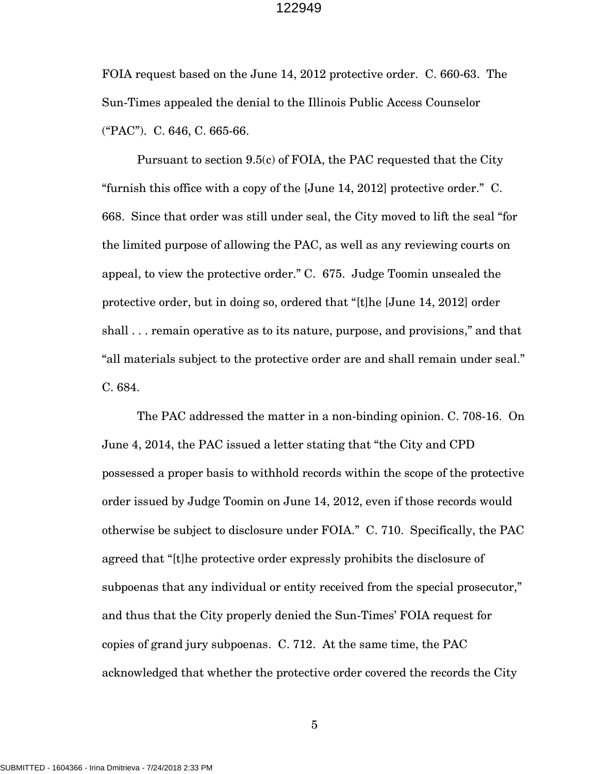FOIA request based on the June 14, 2012 protective order. C. 660-63. The Sun-Times appealed the denial to the Illinois Public Access Counselor ("PAC"). C. 646, C. 665-66.

 Pursuant to section 9.5(c) of FOIA, the PAC requested that the City "furnish this office with a copy of the [June 14, 2012] protective order." C. 668. Since that order was still under seal, the City moved to lift the seal "for the limited purpose of allowing the PAC, as well as any reviewing courts on appeal, to view the protective order." C. 675. Judge Toomin unsealed the protective order, but in doing so, ordered that "[t]he [June 14, 2012] order shall . . . remain operative as to its nature, purpose, and provisions," and that "all materials subject to the protective order are and shall remain under seal." C. 684.

 The PAC addressed the matter in a non-binding opinion. C. 708-16. On June 4, 2014, the PAC issued a letter stating that "the City and CPD possessed a proper basis to withhold records within the scope of the protective order issued by Judge Toomin on June 14, 2012, even if those records would otherwise be subject to disclosure under FOIA." C. 710. Specifically, the PAC agreed that "[t]he protective order expressly prohibits the disclosure of subpoenas that any individual or entity received from the special prosecutor," and thus that the City properly denied the Sun-Times' FOIA request for copies of grand jury subpoenas. C. 712. At the same time, the PAC acknowledged that whether the protective order covered the records the City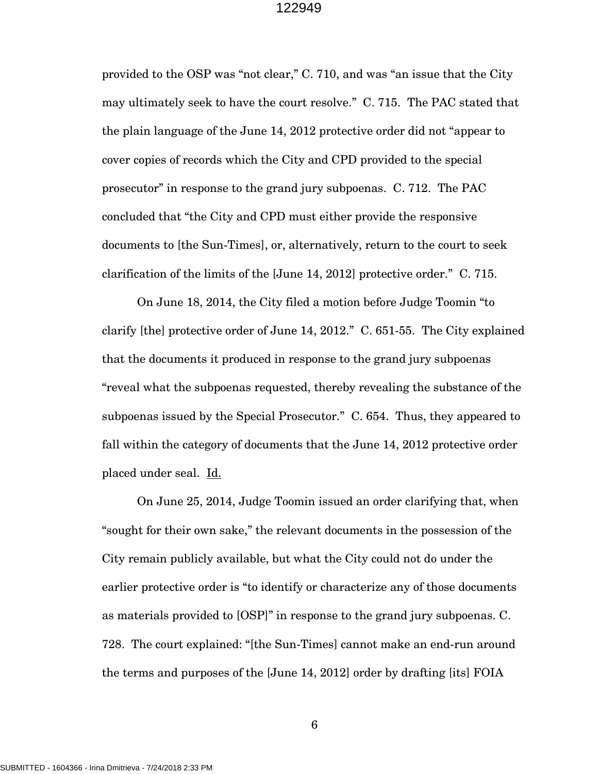provided to the OSP was "not clear," C. 710, and was "an issue that the City may ultimately seek to have the court resolve." C. 715. The PAC stated that the plain language of the June 14, 2012 protective order did not "appear to cover copies of records which the City and CPD provided to the special prosecutor" in response to the grand jury subpoenas. C. 712. The PAC concluded that "the City and CPD must either provide the responsive documents to [the Sun-Times], or, alternatively, return to the court to seek clarification of the limits of the [June 14, 2012] protective order." C. 715.

 On June 18, 2014, the City filed a motion before Judge Toomin "to clarify [the] protective order of June 14, 2012." C. 651-55. The City explained that the documents it produced in response to the grand jury subpoenas "reveal what the subpoenas requested, thereby revealing the substance of the subpoenas issued by the Special Prosecutor." C. 654. Thus, they appeared to fall within the category of documents that the June 14, 2012 protective order placed under seal. Id.

 On June 25, 2014, Judge Toomin issued an order clarifying that, when "sought for their own sake," the relevant documents in the possession of the City remain publicly available, but what the City could not do under the earlier protective order is "to identify or characterize any of those documents as materials provided to [OSP]" in response to the grand jury subpoenas. C. 728. The court explained: "[the Sun-Times] cannot make an end-run around the terms and purposes of the [June 14, 2012] order by drafting [its] FOIA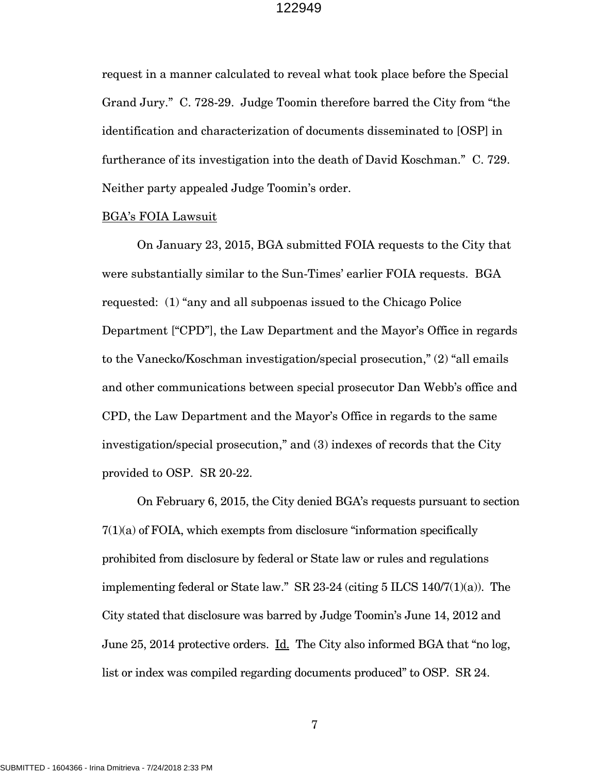request in a manner calculated to reveal what took place before the Special Grand Jury." C. 728-29. Judge Toomin therefore barred the City from "the identification and characterization of documents disseminated to [OSP] in furtherance of its investigation into the death of David Koschman." C. 729. Neither party appealed Judge Toomin's order.

### BGA's FOIA Lawsuit

 On January 23, 2015, BGA submitted FOIA requests to the City that were substantially similar to the Sun-Times' earlier FOIA requests. BGA requested: (1) "any and all subpoenas issued to the Chicago Police Department ["CPD"], the Law Department and the Mayor's Office in regards to the Vanecko/Koschman investigation/special prosecution," (2) "all emails and other communications between special prosecutor Dan Webb's office and CPD, the Law Department and the Mayor's Office in regards to the same investigation/special prosecution," and (3) indexes of records that the City provided to OSP. SR 20-22.

 On February 6, 2015, the City denied BGA's requests pursuant to section 7(1)(a) of FOIA, which exempts from disclosure "information specifically prohibited from disclosure by federal or State law or rules and regulations implementing federal or State law." SR 23-24 (citing 5 ILCS 140/7(1)(a)). The City stated that disclosure was barred by Judge Toomin's June 14, 2012 and June 25, 2014 protective orders. Id. The City also informed BGA that "no log, list or index was compiled regarding documents produced" to OSP. SR 24.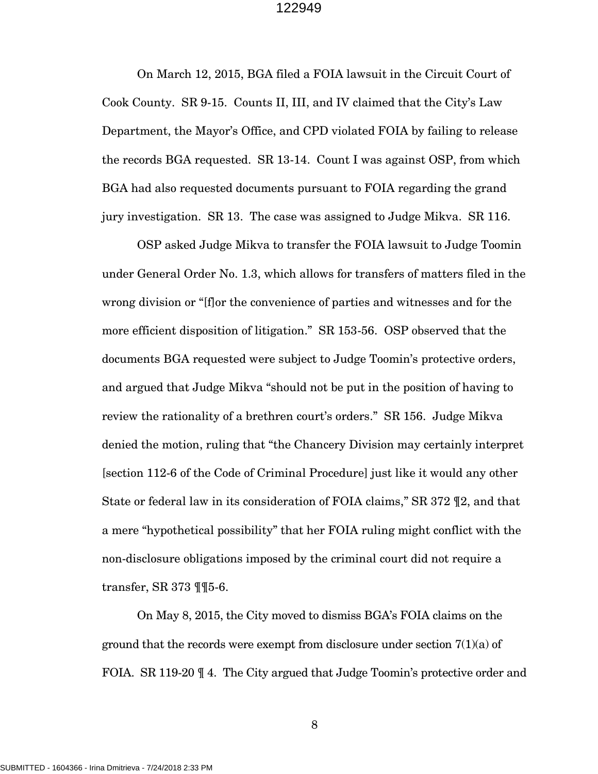On March 12, 2015, BGA filed a FOIA lawsuit in the Circuit Court of Cook County. SR 9-15. Counts II, III, and IV claimed that the City's Law Department, the Mayor's Office, and CPD violated FOIA by failing to release the records BGA requested. SR 13-14. Count I was against OSP, from which BGA had also requested documents pursuant to FOIA regarding the grand jury investigation. SR 13. The case was assigned to Judge Mikva. SR 116.

 OSP asked Judge Mikva to transfer the FOIA lawsuit to Judge Toomin under General Order No. 1.3, which allows for transfers of matters filed in the wrong division or "[f]or the convenience of parties and witnesses and for the more efficient disposition of litigation." SR 153-56. OSP observed that the documents BGA requested were subject to Judge Toomin's protective orders, and argued that Judge Mikva "should not be put in the position of having to review the rationality of a brethren court's orders." SR 156. Judge Mikva denied the motion, ruling that "the Chancery Division may certainly interpret [section 112-6 of the Code of Criminal Procedure] just like it would any other State or federal law in its consideration of FOIA claims," SR 372 ¶2, and that a mere "hypothetical possibility" that her FOIA ruling might conflict with the non-disclosure obligations imposed by the criminal court did not require a transfer, SR 373 ¶¶5-6.

On May 8, 2015, the City moved to dismiss BGA's FOIA claims on the ground that the records were exempt from disclosure under section  $7(1)(a)$  of FOIA. SR 119-20  $\parallel$  4. The City argued that Judge Toomin's protective order and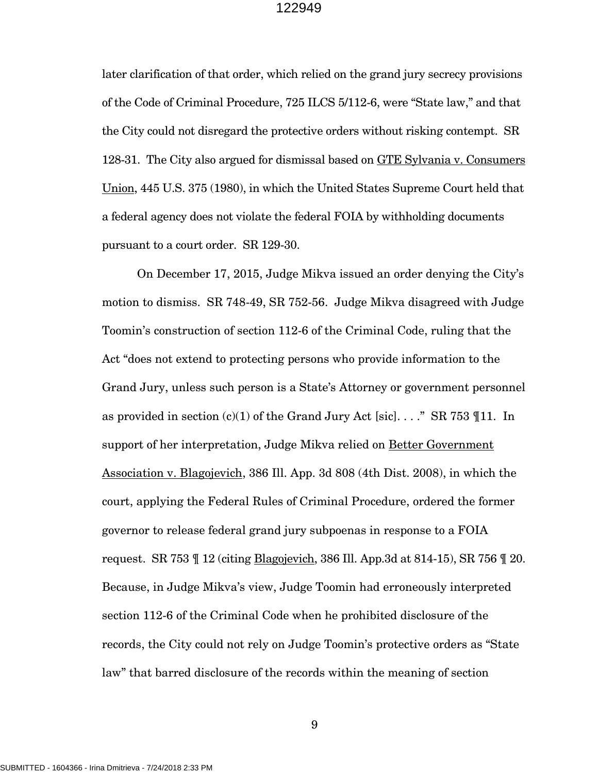later clarification of that order, which relied on the grand jury secrecy provisions of the Code of Criminal Procedure, 725 ILCS 5/112-6, were "State law," and that the City could not disregard the protective orders without risking contempt. SR 128-31. The City also argued for dismissal based on GTE Sylvania v. Consumers Union, 445 U.S. 375 (1980), in which the United States Supreme Court held that a federal agency does not violate the federal FOIA by withholding documents pursuant to a court order. SR 129-30.

On December 17, 2015, Judge Mikva issued an order denying the City's motion to dismiss. SR 748-49, SR 752-56. Judge Mikva disagreed with Judge Toomin's construction of section 112-6 of the Criminal Code, ruling that the Act "does not extend to protecting persons who provide information to the Grand Jury, unless such person is a State's Attorney or government personnel as provided in section (c)(1) of the Grand Jury Act [sic]...." SR 753  $\P$ 11. In support of her interpretation, Judge Mikva relied on Better Government Association v. Blagojevich, 386 Ill. App. 3d 808 (4th Dist. 2008), in which the court, applying the Federal Rules of Criminal Procedure, ordered the former governor to release federal grand jury subpoenas in response to a FOIA request. SR 753  $\text{I}$  12 (citing **Blagojevich**, 386 Ill. App. 3d at 814-15), SR 756  $\text{I}$  20. Because, in Judge Mikva's view, Judge Toomin had erroneously interpreted section 112-6 of the Criminal Code when he prohibited disclosure of the records, the City could not rely on Judge Toomin's protective orders as "State law" that barred disclosure of the records within the meaning of section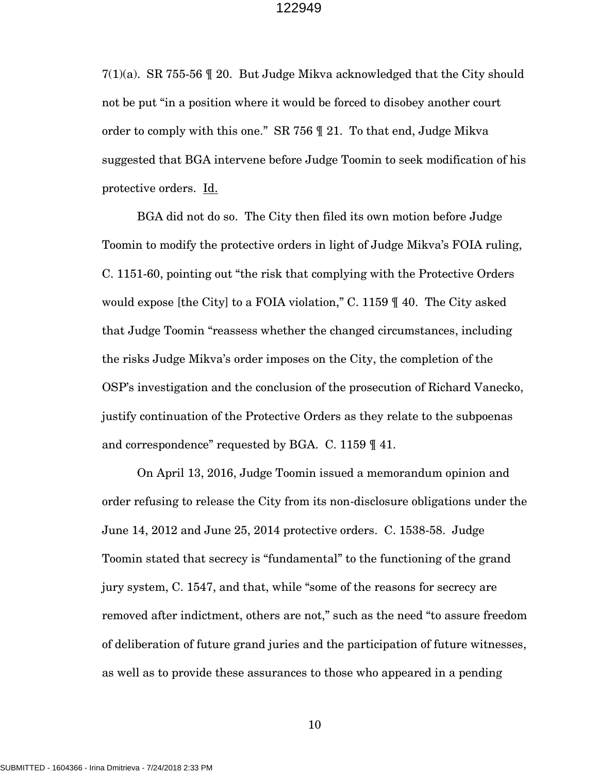$7(1)(a)$ . SR 755-56 || 20. But Judge Mikva acknowledged that the City should not be put "in a position where it would be forced to disobey another court order to comply with this one." SR 756 ¶ 21. To that end, Judge Mikva suggested that BGA intervene before Judge Toomin to seek modification of his protective orders. Id.

BGA did not do so. The City then filed its own motion before Judge Toomin to modify the protective orders in light of Judge Mikva's FOIA ruling, C. 1151-60, pointing out "the risk that complying with the Protective Orders would expose [the City] to a FOIA violation," C. 1159 ¶ 40. The City asked that Judge Toomin "reassess whether the changed circumstances, including the risks Judge Mikva's order imposes on the City, the completion of the OSP's investigation and the conclusion of the prosecution of Richard Vanecko, justify continuation of the Protective Orders as they relate to the subpoenas and correspondence" requested by BGA. C. 1159 ¶ 41.

 On April 13, 2016, Judge Toomin issued a memorandum opinion and order refusing to release the City from its non-disclosure obligations under the June 14, 2012 and June 25, 2014 protective orders. C. 1538-58. Judge Toomin stated that secrecy is "fundamental" to the functioning of the grand jury system, C. 1547, and that, while "some of the reasons for secrecy are removed after indictment, others are not," such as the need "to assure freedom of deliberation of future grand juries and the participation of future witnesses, as well as to provide these assurances to those who appeared in a pending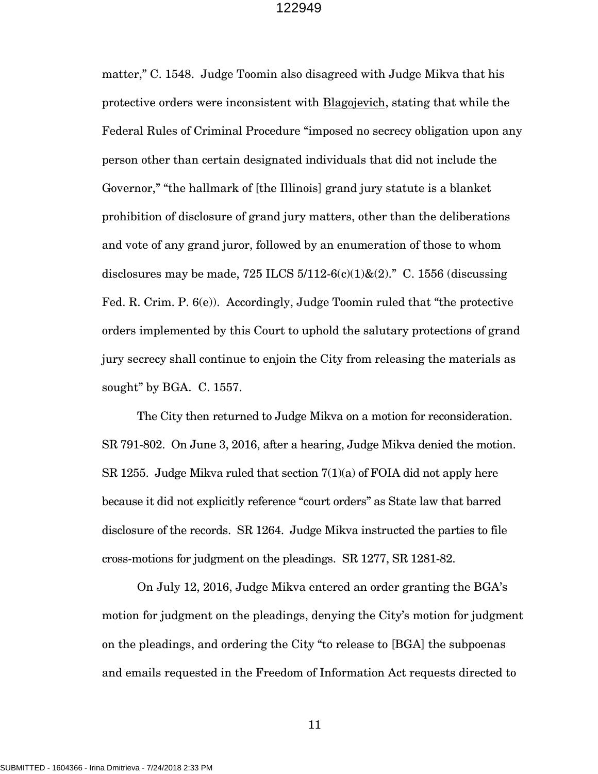matter," C. 1548. Judge Toomin also disagreed with Judge Mikva that his protective orders were inconsistent with Blagojevich, stating that while the Federal Rules of Criminal Procedure "imposed no secrecy obligation upon any person other than certain designated individuals that did not include the Governor," "the hallmark of [the Illinois] grand jury statute is a blanket prohibition of disclosure of grand jury matters, other than the deliberations and vote of any grand juror, followed by an enumeration of those to whom disclosures may be made, 725 ILCS  $5/112-6(c)(1)$ & $(2)$ ." C. 1556 (discussing Fed. R. Crim. P. 6(e)). Accordingly, Judge Toomin ruled that "the protective orders implemented by this Court to uphold the salutary protections of grand jury secrecy shall continue to enjoin the City from releasing the materials as sought" by BGA. C. 1557.

 The City then returned to Judge Mikva on a motion for reconsideration. SR 791-802. On June 3, 2016, after a hearing, Judge Mikva denied the motion. SR 1255. Judge Mikva ruled that section  $7(1)(a)$  of FOIA did not apply here because it did not explicitly reference "court orders" as State law that barred disclosure of the records. SR 1264. Judge Mikva instructed the parties to file cross-motions for judgment on the pleadings. SR 1277, SR 1281-82.

 On July 12, 2016, Judge Mikva entered an order granting the BGA's motion for judgment on the pleadings, denying the City's motion for judgment on the pleadings, and ordering the City "to release to [BGA] the subpoenas and emails requested in the Freedom of Information Act requests directed to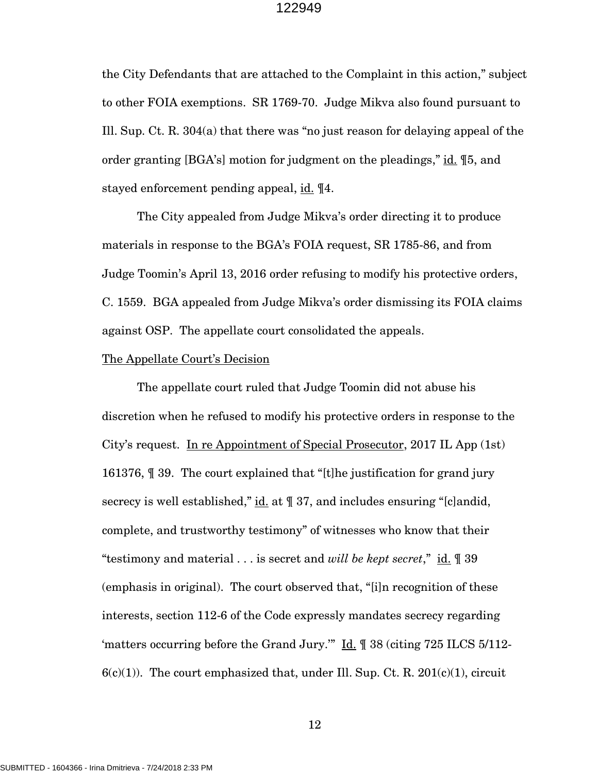the City Defendants that are attached to the Complaint in this action," subject to other FOIA exemptions. SR 1769-70. Judge Mikva also found pursuant to Ill. Sup. Ct. R. 304(a) that there was "no just reason for delaying appeal of the order granting [BGA's] motion for judgment on the pleadings," id. \inequisible 5. stayed enforcement pending appeal, id. 14.

The City appealed from Judge Mikva's order directing it to produce materials in response to the BGA's FOIA request, SR 1785-86, and from Judge Toomin's April 13, 2016 order refusing to modify his protective orders, C. 1559. BGA appealed from Judge Mikva's order dismissing its FOIA claims against OSP. The appellate court consolidated the appeals.

#### The Appellate Court's Decision

 The appellate court ruled that Judge Toomin did not abuse his discretion when he refused to modify his protective orders in response to the City's request. In re Appointment of Special Prosecutor, 2017 IL App (1st) 161376, ¶ 39. The court explained that "[t]he justification for grand jury secrecy is well established," id. at  $\parallel$  37, and includes ensuring "[c]andid, complete, and trustworthy testimony" of witnesses who know that their "testimony and material . . . is secret and *will be kept secret*," id. ¶ 39 (emphasis in original). The court observed that, "[i]n recognition of these interests, section 112-6 of the Code expressly mandates secrecy regarding 'matters occurring before the Grand Jury.'" Id. ¶ 38 (citing 725 ILCS 5/112-  $6(c)(1)$ . The court emphasized that, under Ill. Sup. Ct. R. 201(c)(1), circuit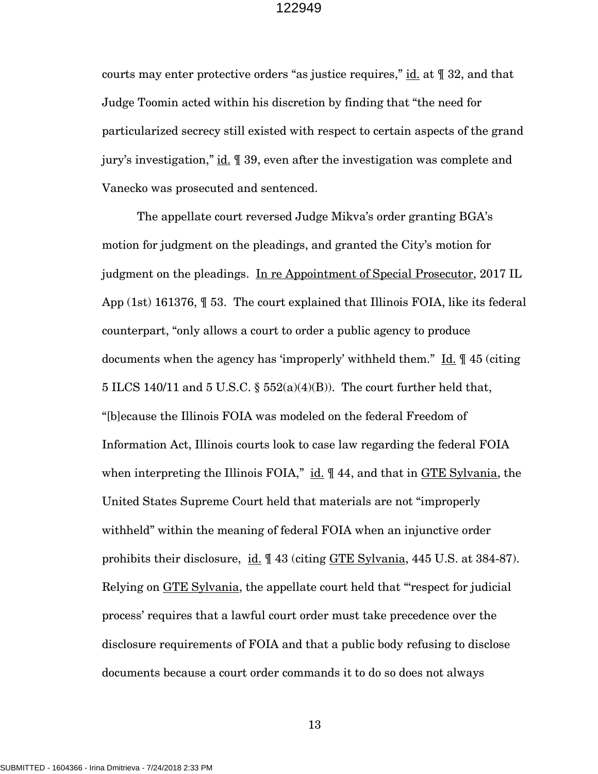courts may enter protective orders "as justice requires," id. at ¶ 32, and that Judge Toomin acted within his discretion by finding that "the need for particularized secrecy still existed with respect to certain aspects of the grand jury's investigation," id. ¶ 39, even after the investigation was complete and Vanecko was prosecuted and sentenced.

 The appellate court reversed Judge Mikva's order granting BGA's motion for judgment on the pleadings, and granted the City's motion for judgment on the pleadings. In re Appointment of Special Prosecutor, 2017 IL App (1st) 161376, ¶ 53. The court explained that Illinois FOIA, like its federal counterpart, "only allows a court to order a public agency to produce documents when the agency has 'improperly' withheld them." Id. ¶ 45 (citing 5 ILCS 140/11 and 5 U.S.C. §  $552(a)(4)(B)$ ). The court further held that, "[b]ecause the Illinois FOIA was modeled on the federal Freedom of Information Act, Illinois courts look to case law regarding the federal FOIA when interpreting the Illinois FOIA," id.  $\parallel$  44, and that in GTE Sylvania, the United States Supreme Court held that materials are not "improperly withheld" within the meaning of federal FOIA when an injunctive order prohibits their disclosure, id.  $\parallel$  43 (citing GTE Sylvania, 445 U.S. at 384-87). Relying on GTE Sylvania, the appellate court held that "'respect for judicial process' requires that a lawful court order must take precedence over the disclosure requirements of FOIA and that a public body refusing to disclose documents because a court order commands it to do so does not always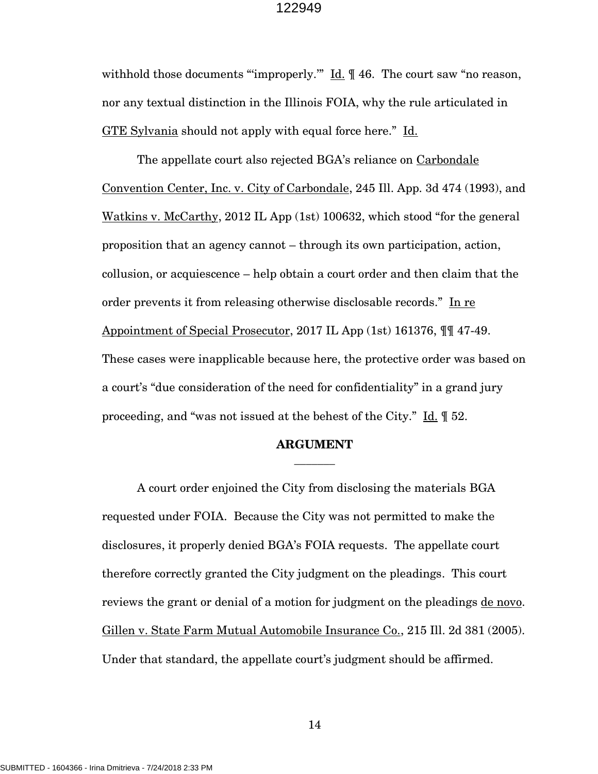withhold those documents "improperly."  $\underline{Id}$ .  $\P$  46. The court saw "no reason, nor any textual distinction in the Illinois FOIA, why the rule articulated in GTE Sylvania should not apply with equal force here." Id.

The appellate court also rejected BGA's reliance on Carbondale Convention Center, Inc. v. City of Carbondale, 245 Ill. App. 3d 474 (1993), and Watkins v. McCarthy, 2012 IL App (1st) 100632, which stood "for the general proposition that an agency cannot – through its own participation, action, collusion, or acquiescence – help obtain a court order and then claim that the order prevents it from releasing otherwise disclosable records." In re Appointment of Special Prosecutor, 2017 IL App (1st) 161376, ¶¶ 47-49. These cases were inapplicable because here, the protective order was based on a court's "due consideration of the need for confidentiality" in a grand jury proceeding, and "was not issued at the behest of the City."  $\underline{\text{Id}}$ .  $\llbracket$  52.

## **ARGUMENT \_\_\_\_\_\_\_**

A court order enjoined the City from disclosing the materials BGA requested under FOIA. Because the City was not permitted to make the disclosures, it properly denied BGA's FOIA requests. The appellate court therefore correctly granted the City judgment on the pleadings. This court reviews the grant or denial of a motion for judgment on the pleadings de novo. Gillen v. State Farm Mutual Automobile Insurance Co., 215 Ill. 2d 381 (2005). Under that standard, the appellate court's judgment should be affirmed.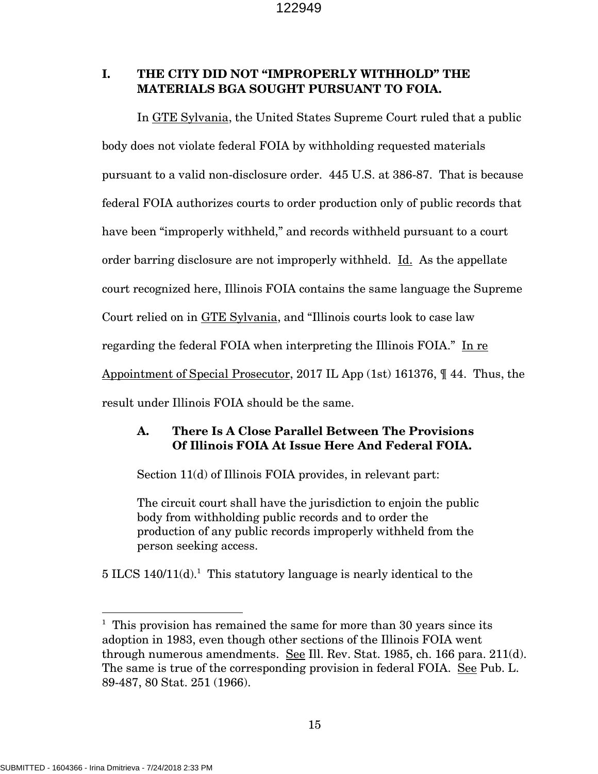# **I. THE CITY DID NOT "IMPROPERLY WITHHOLD" THE MATERIALS BGA SOUGHT PURSUANT TO FOIA.**

In GTE Sylvania, the United States Supreme Court ruled that a public body does not violate federal FOIA by withholding requested materials pursuant to a valid non-disclosure order. 445 U.S. at 386-87. That is because federal FOIA authorizes courts to order production only of public records that have been "improperly withheld," and records withheld pursuant to a court order barring disclosure are not improperly withheld. Id. As the appellate court recognized here, Illinois FOIA contains the same language the Supreme Court relied on in GTE Sylvania, and "Illinois courts look to case law regarding the federal FOIA when interpreting the Illinois FOIA." In re Appointment of Special Prosecutor, 2017 IL App (1st) 161376, ¶ 44. Thus, the result under Illinois FOIA should be the same.

# **A. There Is A Close Parallel Between The Provisions Of Illinois FOIA At Issue Here And Federal FOIA.**

Section 11(d) of Illinois FOIA provides, in relevant part:

The circuit court shall have the jurisdiction to enjoin the public body from withholding public records and to order the production of any public records improperly withheld from the person seeking access.

 $5$  ILCS 140/11(d).<sup>1</sup> This statutory language is nearly identical to the

l

<sup>&</sup>lt;sup>1</sup> This provision has remained the same for more than 30 years since its adoption in 1983, even though other sections of the Illinois FOIA went through numerous amendments. See Ill. Rev. Stat. 1985, ch. 166 para. 211(d). The same is true of the corresponding provision in federal FOIA. See Pub. L. 89-487, 80 Stat. 251 (1966).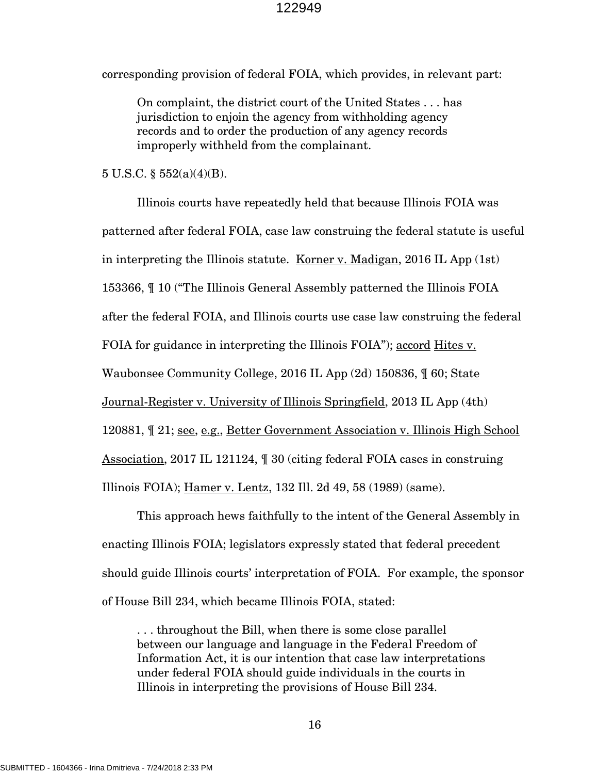corresponding provision of federal FOIA, which provides, in relevant part:

On complaint, the district court of the United States . . . has jurisdiction to enjoin the agency from withholding agency records and to order the production of any agency records improperly withheld from the complainant.

 $5 \text{ U.S.C.}$   $\S 552(a)(4)(B)$ .

Illinois courts have repeatedly held that because Illinois FOIA was patterned after federal FOIA, case law construing the federal statute is useful in interpreting the Illinois statute. Korner v. Madigan, 2016 IL App (1st) 153366, ¶ 10 ("The Illinois General Assembly patterned the Illinois FOIA after the federal FOIA, and Illinois courts use case law construing the federal FOIA for guidance in interpreting the Illinois FOIA"); accord Hites v. Waubonsee Community College, 2016 IL App (2d) 150836, ¶ 60; State Journal-Register v. University of Illinois Springfield, 2013 IL App (4th) 120881, ¶ 21; see, e.g., Better Government Association v. Illinois High School Association, 2017 IL 121124, ¶ 30 (citing federal FOIA cases in construing Illinois FOIA); Hamer v. Lentz, 132 Ill. 2d 49, 58 (1989) (same). This approach hews faithfully to the intent of the General Assembly in

enacting Illinois FOIA; legislators expressly stated that federal precedent should guide Illinois courts' interpretation of FOIA. For example, the sponsor of House Bill 234, which became Illinois FOIA, stated:

. . . throughout the Bill, when there is some close parallel between our language and language in the Federal Freedom of Information Act, it is our intention that case law interpretations under federal FOIA should guide individuals in the courts in Illinois in interpreting the provisions of House Bill 234.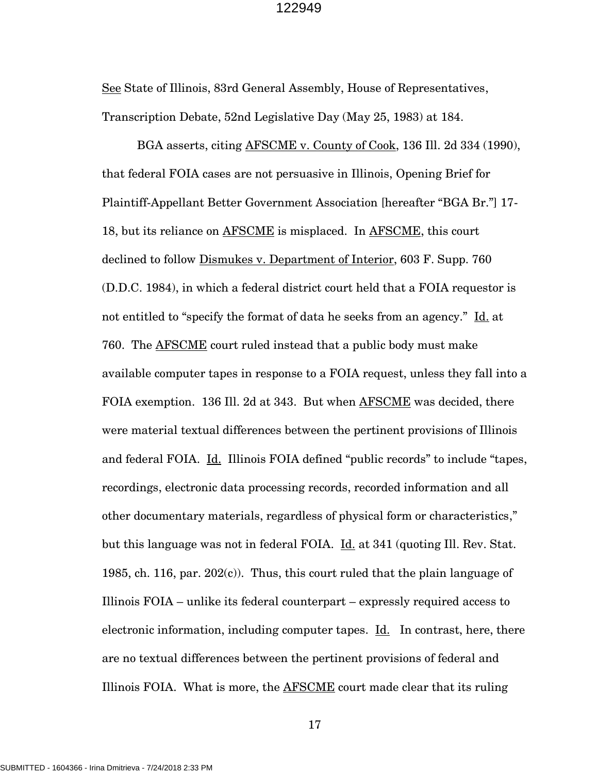See State of Illinois, 83rd General Assembly, House of Representatives, Transcription Debate, 52nd Legislative Day (May 25, 1983) at 184.

BGA asserts, citing AFSCME v. County of Cook, 136 Ill. 2d 334 (1990), that federal FOIA cases are not persuasive in Illinois, Opening Brief for Plaintiff-Appellant Better Government Association [hereafter "BGA Br."] 17- 18, but its reliance on AFSCME is misplaced. In AFSCME, this court declined to follow Dismukes v. Department of Interior, 603 F. Supp. 760 (D.D.C. 1984), in which a federal district court held that a FOIA requestor is not entitled to "specify the format of data he seeks from an agency." Id. at 760. The AFSCME court ruled instead that a public body must make available computer tapes in response to a FOIA request, unless they fall into a FOIA exemption. 136 Ill. 2d at 343. But when AFSCME was decided, there were material textual differences between the pertinent provisions of Illinois and federal FOIA. Id. Illinois FOIA defined "public records" to include "tapes, recordings, electronic data processing records, recorded information and all other documentary materials, regardless of physical form or characteristics," but this language was not in federal FOIA. Id. at 341 (quoting Ill. Rev. Stat. 1985, ch. 116, par. 202(c)). Thus, this court ruled that the plain language of Illinois FOIA – unlike its federal counterpart – expressly required access to electronic information, including computer tapes. Id. In contrast, here, there are no textual differences between the pertinent provisions of federal and Illinois FOIA. What is more, the AFSCME court made clear that its ruling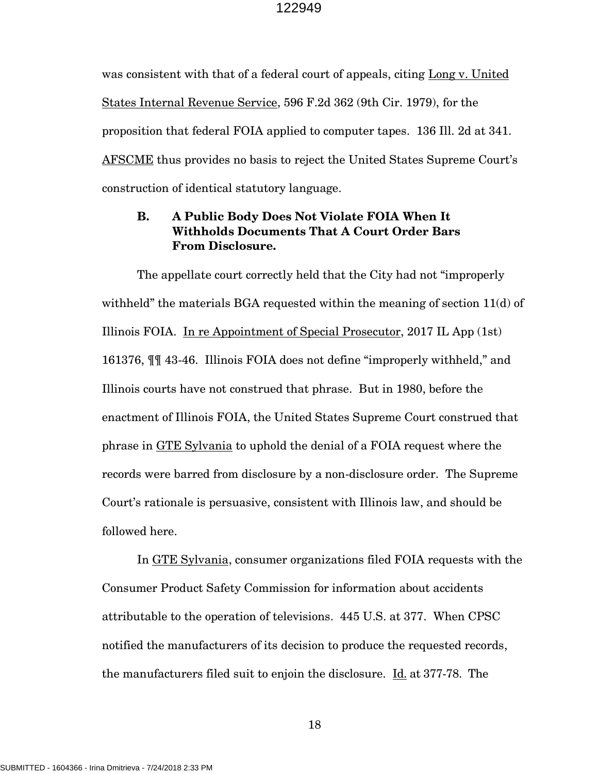was consistent with that of a federal court of appeals, citing Long v. United States Internal Revenue Service, 596 F.2d 362 (9th Cir. 1979), for the proposition that federal FOIA applied to computer tapes. 136 Ill. 2d at 341. AFSCME thus provides no basis to reject the United States Supreme Court's construction of identical statutory language.

# **B. A Public Body Does Not Violate FOIA When It Withholds Documents That A Court Order Bars From Disclosure.**

The appellate court correctly held that the City had not "improperly withheld" the materials BGA requested within the meaning of section 11(d) of Illinois FOIA. In re Appointment of Special Prosecutor, 2017 IL App (1st) 161376, ¶¶ 43-46. Illinois FOIA does not define "improperly withheld," and Illinois courts have not construed that phrase. But in 1980, before the enactment of Illinois FOIA, the United States Supreme Court construed that phrase in GTE Sylvania to uphold the denial of a FOIA request where the records were barred from disclosure by a non-disclosure order. The Supreme Court's rationale is persuasive, consistent with Illinois law, and should be followed here.

In GTE Sylvania, consumer organizations filed FOIA requests with the Consumer Product Safety Commission for information about accidents attributable to the operation of televisions. 445 U.S. at 377. When CPSC notified the manufacturers of its decision to produce the requested records, the manufacturers filed suit to enjoin the disclosure. Id. at 377-78. The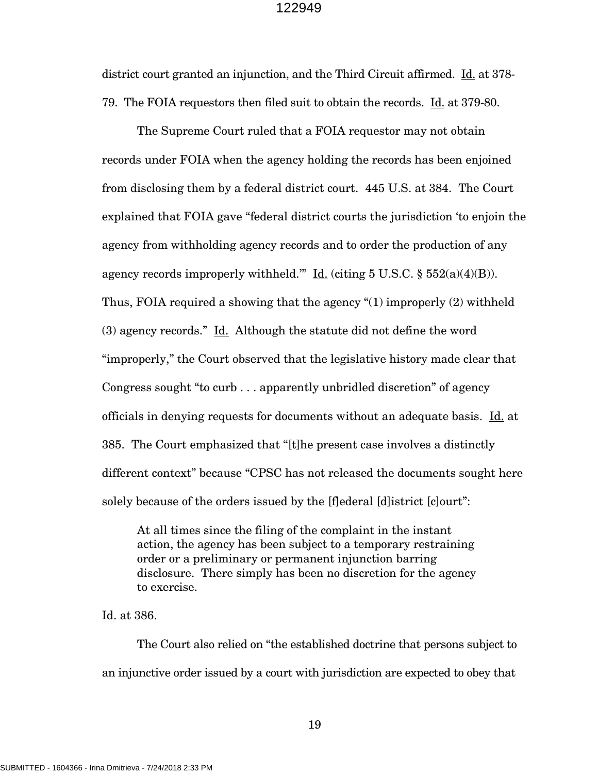district court granted an injunction, and the Third Circuit affirmed. Id. at 378- 79. The FOIA requestors then filed suit to obtain the records. Id. at 379-80.

The Supreme Court ruled that a FOIA requestor may not obtain records under FOIA when the agency holding the records has been enjoined from disclosing them by a federal district court. 445 U.S. at 384. The Court explained that FOIA gave "federal district courts the jurisdiction 'to enjoin the agency from withholding agency records and to order the production of any agency records improperly withheld." Id. (citing 5 U.S.C.  $\S$  552(a)(4)(B)). Thus, FOIA required a showing that the agency "(1) improperly (2) withheld (3) agency records." Id. Although the statute did not define the word "improperly," the Court observed that the legislative history made clear that Congress sought "to curb . . . apparently unbridled discretion" of agency officials in denying requests for documents without an adequate basis. Id. at 385. The Court emphasized that "[t]he present case involves a distinctly different context" because "CPSC has not released the documents sought here solely because of the orders issued by the [f]ederal [d]istrict [c]ourt":

At all times since the filing of the complaint in the instant action, the agency has been subject to a temporary restraining order or a preliminary or permanent injunction barring disclosure. There simply has been no discretion for the agency to exercise.

Id. at 386.

The Court also relied on "the established doctrine that persons subject to an injunctive order issued by a court with jurisdiction are expected to obey that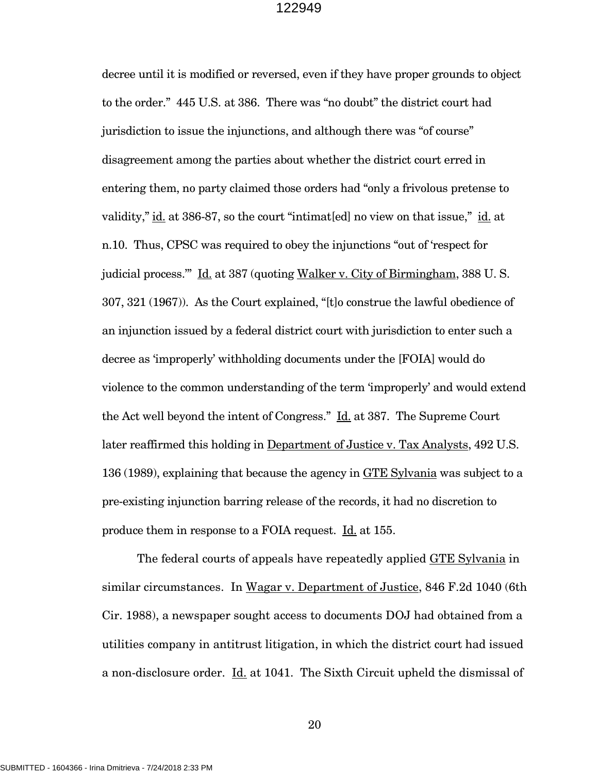decree until it is modified or reversed, even if they have proper grounds to object to the order." 445 U.S. at 386. There was "no doubt" the district court had jurisdiction to issue the injunctions, and although there was "of course" disagreement among the parties about whether the district court erred in entering them, no party claimed those orders had "only a frivolous pretense to validity," id. at 386-87, so the court "intimat[ed] no view on that issue," id. at n.10. Thus, CPSC was required to obey the injunctions "out of 'respect for judicial process." Id. at 387 (quoting Walker v. City of Birmingham, 388 U.S. 307, 321 (1967)). As the Court explained, "[t]o construe the lawful obedience of an injunction issued by a federal district court with jurisdiction to enter such a decree as 'improperly' withholding documents under the [FOIA] would do violence to the common understanding of the term 'improperly' and would extend the Act well beyond the intent of Congress." Id. at 387. The Supreme Court later reaffirmed this holding in Department of Justice v. Tax Analysts, 492 U.S. 136 (1989), explaining that because the agency in GTE Sylvania was subject to a pre-existing injunction barring release of the records, it had no discretion to produce them in response to a FOIA request. Id. at 155.

The federal courts of appeals have repeatedly applied GTE Sylvania in similar circumstances. In Wagar v. Department of Justice, 846 F.2d 1040 (6th Cir. 1988), a newspaper sought access to documents DOJ had obtained from a utilities company in antitrust litigation, in which the district court had issued a non-disclosure order. Id. at 1041. The Sixth Circuit upheld the dismissal of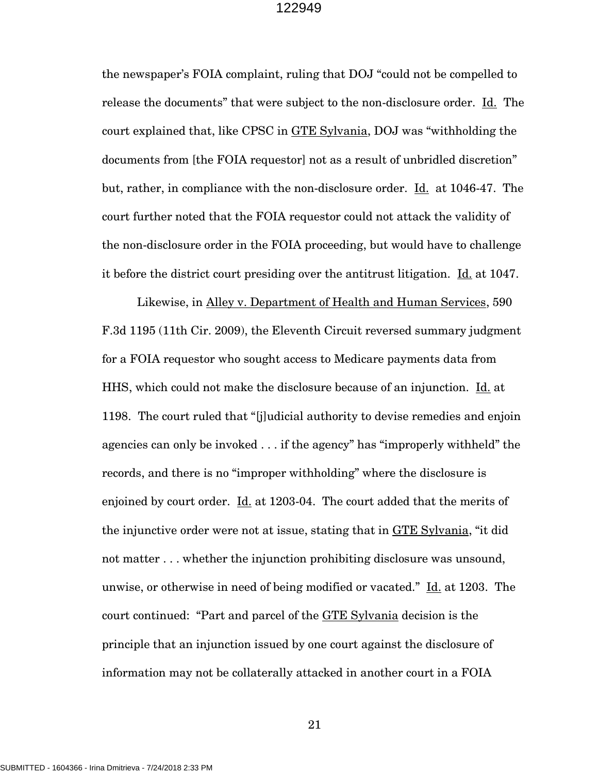the newspaper's FOIA complaint, ruling that DOJ "could not be compelled to release the documents" that were subject to the non-disclosure order. Id. The court explained that, like CPSC in GTE Sylvania, DOJ was "withholding the documents from [the FOIA requestor] not as a result of unbridled discretion" but, rather, in compliance with the non-disclosure order. Id. at 1046-47. The court further noted that the FOIA requestor could not attack the validity of the non-disclosure order in the FOIA proceeding, but would have to challenge it before the district court presiding over the antitrust litigation. Id. at 1047.

Likewise, in Alley v. Department of Health and Human Services, 590 F.3d 1195 (11th Cir. 2009), the Eleventh Circuit reversed summary judgment for a FOIA requestor who sought access to Medicare payments data from HHS, which could not make the disclosure because of an injunction. Id. at 1198. The court ruled that "[j]udicial authority to devise remedies and enjoin agencies can only be invoked . . . if the agency" has "improperly withheld" the records, and there is no "improper withholding" where the disclosure is enjoined by court order. Id. at 1203-04. The court added that the merits of the injunctive order were not at issue, stating that in GTE Sylvania, "it did not matter . . . whether the injunction prohibiting disclosure was unsound, unwise, or otherwise in need of being modified or vacated." Id. at 1203. The court continued: "Part and parcel of the GTE Sylvania decision is the principle that an injunction issued by one court against the disclosure of information may not be collaterally attacked in another court in a FOIA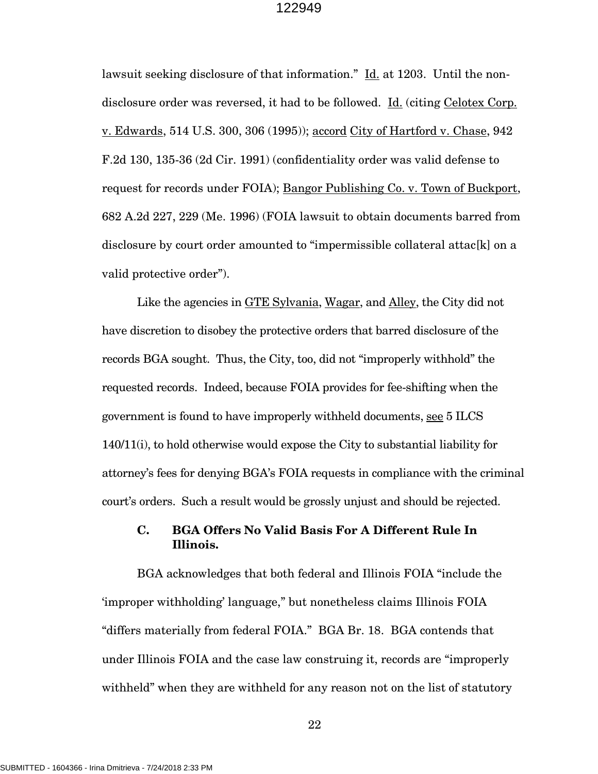lawsuit seeking disclosure of that information." Id. at 1203. Until the nondisclosure order was reversed, it had to be followed. Id. (citing Celotex Corp. v. Edwards, 514 U.S. 300, 306 (1995)); accord City of Hartford v. Chase, 942 F.2d 130, 135-36 (2d Cir. 1991) (confidentiality order was valid defense to request for records under FOIA); Bangor Publishing Co. v. Town of Buckport, 682 A.2d 227, 229 (Me. 1996) (FOIA lawsuit to obtain documents barred from disclosure by court order amounted to "impermissible collateral attac[k] on a valid protective order").

Like the agencies in GTE Sylvania, Wagar, and Alley, the City did not have discretion to disobey the protective orders that barred disclosure of the records BGA sought. Thus, the City, too, did not "improperly withhold" the requested records. Indeed, because FOIA provides for fee-shifting when the government is found to have improperly withheld documents, see 5 ILCS 140/11(i), to hold otherwise would expose the City to substantial liability for attorney's fees for denying BGA's FOIA requests in compliance with the criminal court's orders. Such a result would be grossly unjust and should be rejected.

# **C. BGA Offers No Valid Basis For A Different Rule In Illinois.**

BGA acknowledges that both federal and Illinois FOIA "include the 'improper withholding' language," but nonetheless claims Illinois FOIA "differs materially from federal FOIA." BGA Br. 18. BGA contends that under Illinois FOIA and the case law construing it, records are "improperly withheld" when they are withheld for any reason not on the list of statutory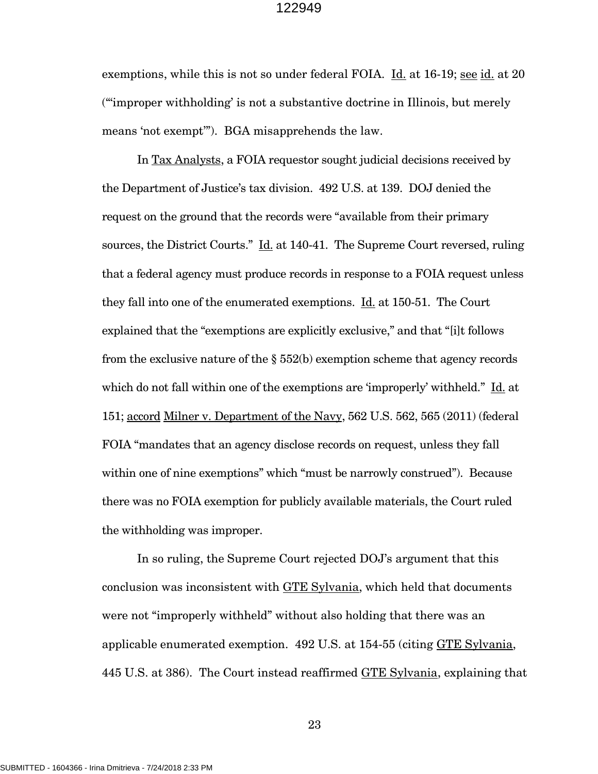exemptions, while this is not so under federal FOIA. Id. at 16-19; see id. at 20 ("'improper withholding' is not a substantive doctrine in Illinois, but merely means 'not exempt'"). BGA misapprehends the law.

In Tax Analysts, a FOIA requestor sought judicial decisions received by the Department of Justice's tax division. 492 U.S. at 139. DOJ denied the request on the ground that the records were "available from their primary sources, the District Courts."  $\underline{Id}$  at 140-41. The Supreme Court reversed, ruling that a federal agency must produce records in response to a FOIA request unless they fall into one of the enumerated exemptions. Id. at 150-51. The Court explained that the "exemptions are explicitly exclusive," and that "[i]t follows from the exclusive nature of the  $\S$  552(b) exemption scheme that agency records which do not fall within one of the exemptions are 'improperly' withheld." Id. at 151; accord Milner v. Department of the Navy, 562 U.S. 562, 565 (2011) (federal FOIA "mandates that an agency disclose records on request, unless they fall within one of nine exemptions" which "must be narrowly construed"). Because there was no FOIA exemption for publicly available materials, the Court ruled the withholding was improper.

In so ruling, the Supreme Court rejected DOJ's argument that this conclusion was inconsistent with GTE Sylvania, which held that documents were not "improperly withheld" without also holding that there was an applicable enumerated exemption. 492 U.S. at 154-55 (citing GTE Sylvania, 445 U.S. at 386). The Court instead reaffirmed GTE Sylvania, explaining that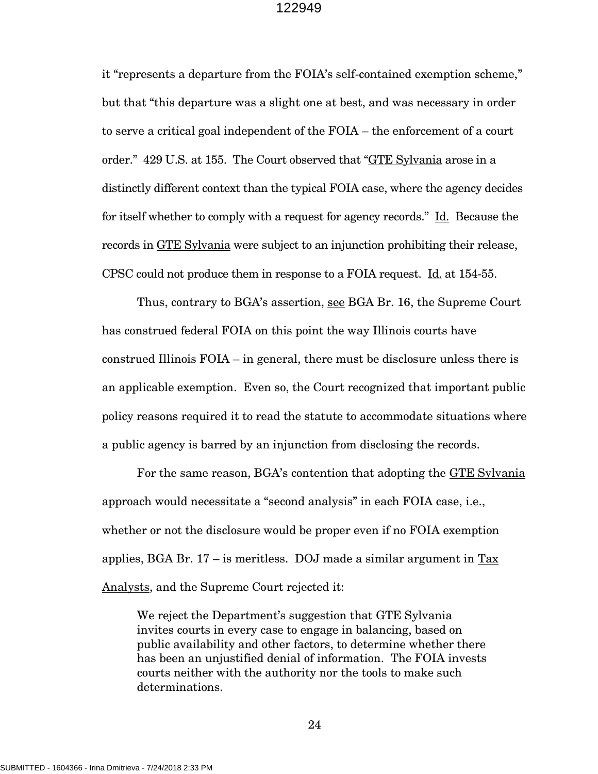it "represents a departure from the FOIA's self-contained exemption scheme," but that "this departure was a slight one at best, and was necessary in order to serve a critical goal independent of the FOIA – the enforcement of a court order." 429 U.S. at 155. The Court observed that "GTE Sylvania arose in a distinctly different context than the typical FOIA case, where the agency decides for itself whether to comply with a request for agency records." Id. Because the records in GTE Sylvania were subject to an injunction prohibiting their release, CPSC could not produce them in response to a FOIA request. Id. at 154-55.

Thus, contrary to BGA's assertion, see BGA Br. 16, the Supreme Court has construed federal FOIA on this point the way Illinois courts have construed Illinois FOIA – in general, there must be disclosure unless there is an applicable exemption. Even so, the Court recognized that important public policy reasons required it to read the statute to accommodate situations where a public agency is barred by an injunction from disclosing the records.

For the same reason, BGA's contention that adopting the GTE Sylvania approach would necessitate a "second analysis" in each FOIA case, i.e., whether or not the disclosure would be proper even if no FOIA exemption applies, BGA Br.  $17$  – is meritless. DOJ made a similar argument in  $\frac{\text{Tax}}{\text{Tax}}$ Analysts, and the Supreme Court rejected it:

We reject the Department's suggestion that GTE Sylvania invites courts in every case to engage in balancing, based on public availability and other factors, to determine whether there has been an unjustified denial of information. The FOIA invests courts neither with the authority nor the tools to make such determinations.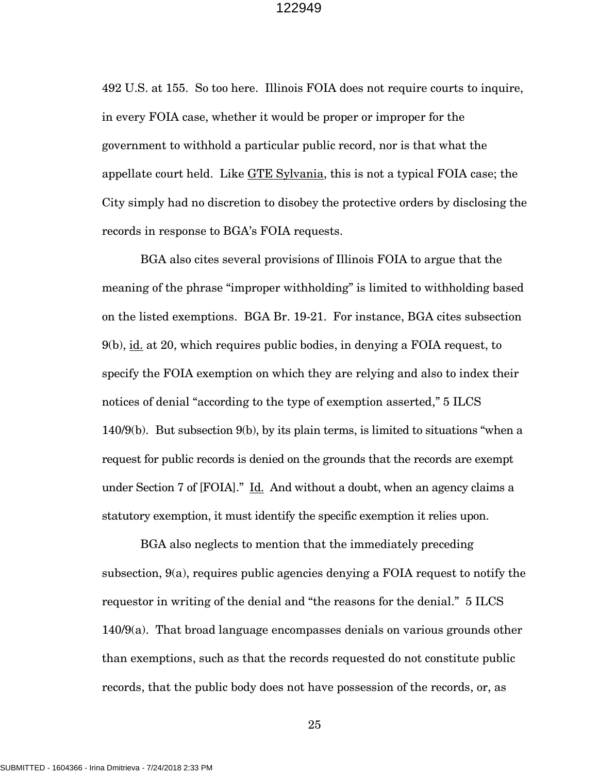492 U.S. at 155. So too here. Illinois FOIA does not require courts to inquire, in every FOIA case, whether it would be proper or improper for the government to withhold a particular public record, nor is that what the appellate court held. Like GTE Sylvania, this is not a typical FOIA case; the City simply had no discretion to disobey the protective orders by disclosing the records in response to BGA's FOIA requests.

 BGA also cites several provisions of Illinois FOIA to argue that the meaning of the phrase "improper withholding" is limited to withholding based on the listed exemptions. BGA Br. 19-21. For instance, BGA cites subsection 9(b), id. at 20, which requires public bodies, in denying a FOIA request, to specify the FOIA exemption on which they are relying and also to index their notices of denial "according to the type of exemption asserted," 5 ILCS 140/9(b). But subsection 9(b), by its plain terms, is limited to situations "when a request for public records is denied on the grounds that the records are exempt under Section 7 of [FOIA]." Id. And without a doubt, when an agency claims a statutory exemption, it must identify the specific exemption it relies upon.

 BGA also neglects to mention that the immediately preceding subsection, 9(a), requires public agencies denying a FOIA request to notify the requestor in writing of the denial and "the reasons for the denial." 5 ILCS 140/9(a). That broad language encompasses denials on various grounds other than exemptions, such as that the records requested do not constitute public records, that the public body does not have possession of the records, or, as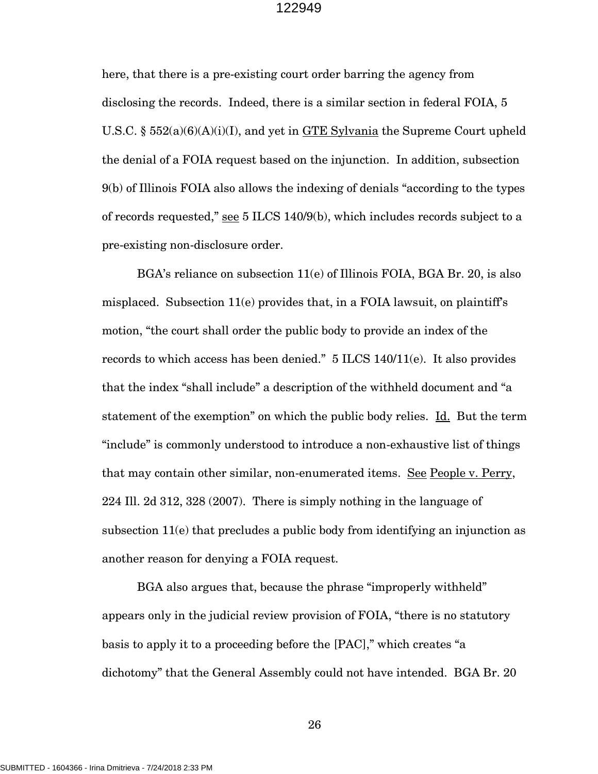here, that there is a pre-existing court order barring the agency from disclosing the records. Indeed, there is a similar section in federal FOIA, 5 U.S.C. § 552(a)(6)(A)(i)(I), and yet in GTE Sylvania the Supreme Court upheld the denial of a FOIA request based on the injunction. In addition, subsection 9(b) of Illinois FOIA also allows the indexing of denials "according to the types of records requested," see 5 ILCS 140/9(b), which includes records subject to a pre-existing non-disclosure order.

BGA's reliance on subsection 11(e) of Illinois FOIA, BGA Br. 20, is also misplaced. Subsection  $11(e)$  provides that, in a FOIA lawsuit, on plaintiff's motion, "the court shall order the public body to provide an index of the records to which access has been denied." 5 ILCS 140/11(e). It also provides that the index "shall include" a description of the withheld document and "a statement of the exemption" on which the public body relies. Id. But the term "include" is commonly understood to introduce a non-exhaustive list of things that may contain other similar, non-enumerated items. See People v. Perry, 224 Ill. 2d 312, 328 (2007). There is simply nothing in the language of subsection 11(e) that precludes a public body from identifying an injunction as another reason for denying a FOIA request.

BGA also argues that, because the phrase "improperly withheld" appears only in the judicial review provision of FOIA, "there is no statutory basis to apply it to a proceeding before the [PAC]," which creates "a dichotomy" that the General Assembly could not have intended. BGA Br. 20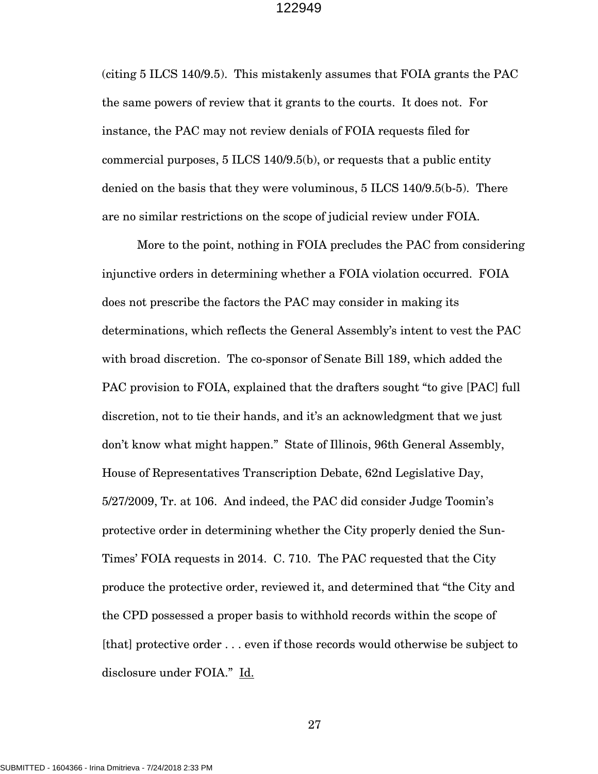(citing 5 ILCS 140/9.5). This mistakenly assumes that FOIA grants the PAC the same powers of review that it grants to the courts. It does not. For instance, the PAC may not review denials of FOIA requests filed for commercial purposes, 5 ILCS 140/9.5(b), or requests that a public entity denied on the basis that they were voluminous, 5 ILCS 140/9.5(b-5). There are no similar restrictions on the scope of judicial review under FOIA.

More to the point, nothing in FOIA precludes the PAC from considering injunctive orders in determining whether a FOIA violation occurred. FOIA does not prescribe the factors the PAC may consider in making its determinations, which reflects the General Assembly's intent to vest the PAC with broad discretion. The co-sponsor of Senate Bill 189, which added the PAC provision to FOIA, explained that the drafters sought "to give [PAC] full discretion, not to tie their hands, and it's an acknowledgment that we just don't know what might happen." State of Illinois, 96th General Assembly, House of Representatives Transcription Debate, 62nd Legislative Day, 5/27/2009, Tr. at 106. And indeed, the PAC did consider Judge Toomin's protective order in determining whether the City properly denied the Sun-Times' FOIA requests in 2014. C. 710. The PAC requested that the City produce the protective order, reviewed it, and determined that "the City and the CPD possessed a proper basis to withhold records within the scope of [that] protective order . . . even if those records would otherwise be subject to disclosure under FOIA." Id.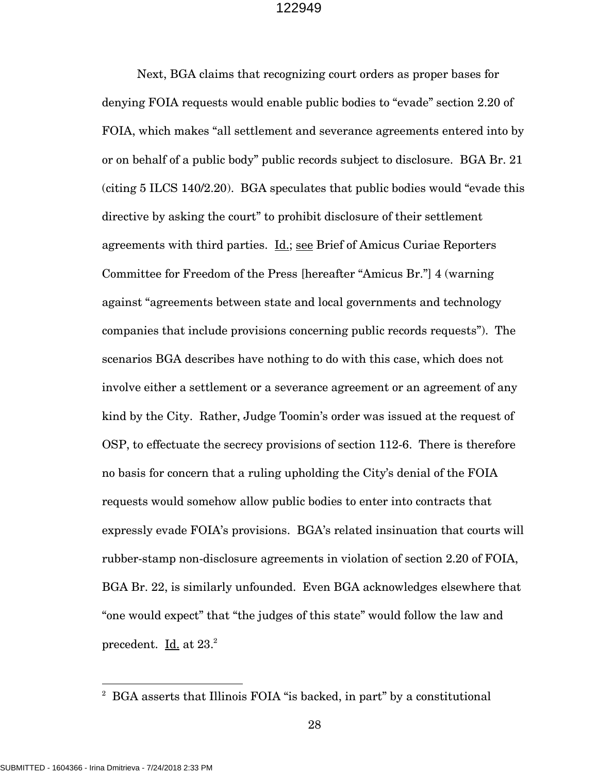Next, BGA claims that recognizing court orders as proper bases for denying FOIA requests would enable public bodies to "evade" section 2.20 of FOIA, which makes "all settlement and severance agreements entered into by or on behalf of a public body" public records subject to disclosure. BGA Br. 21 (citing 5 ILCS 140/2.20). BGA speculates that public bodies would "evade this directive by asking the court" to prohibit disclosure of their settlement agreements with third parties. Id.; see Brief of Amicus Curiae Reporters Committee for Freedom of the Press [hereafter "Amicus Br."] 4 (warning against "agreements between state and local governments and technology companies that include provisions concerning public records requests"). The scenarios BGA describes have nothing to do with this case, which does not involve either a settlement or a severance agreement or an agreement of any kind by the City. Rather, Judge Toomin's order was issued at the request of OSP, to effectuate the secrecy provisions of section 112-6. There is therefore no basis for concern that a ruling upholding the City's denial of the FOIA requests would somehow allow public bodies to enter into contracts that expressly evade FOIA's provisions. BGA's related insinuation that courts will rubber-stamp non-disclosure agreements in violation of section 2.20 of FOIA, BGA Br. 22, is similarly unfounded. Even BGA acknowledges elsewhere that "one would expect" that "the judges of this state" would follow the law and precedent. Id. at  $23.<sup>2</sup>$ 

<sup>&</sup>lt;sup>2</sup> BGA asserts that Illinois FOIA "is backed, in part" by a constitutional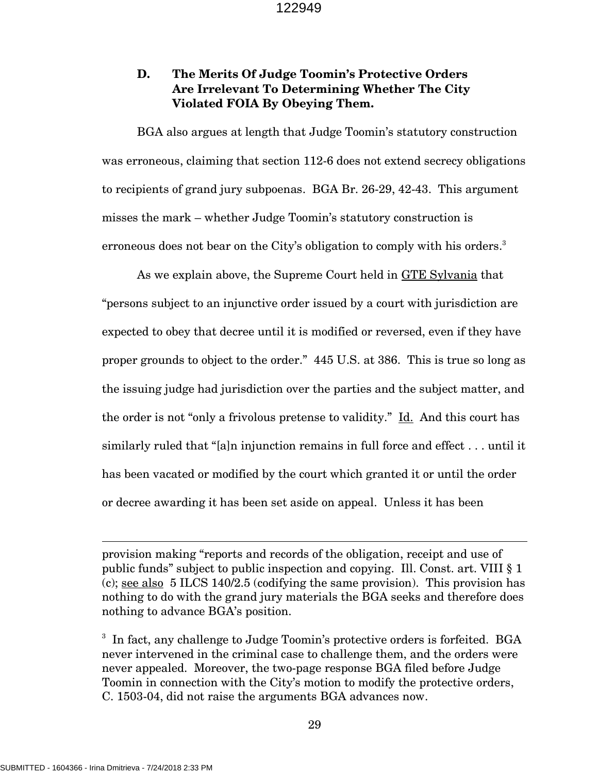# **D. The Merits Of Judge Toomin's Protective Orders Are Irrelevant To Determining Whether The City Violated FOIA By Obeying Them.**

BGA also argues at length that Judge Toomin's statutory construction was erroneous, claiming that section 112-6 does not extend secrecy obligations to recipients of grand jury subpoenas. BGA Br. 26-29, 42-43. This argument misses the mark – whether Judge Toomin's statutory construction is erroneous does not bear on the City's obligation to comply with his orders.<sup>3</sup>

As we explain above, the Supreme Court held in GTE Sylvania that "persons subject to an injunctive order issued by a court with jurisdiction are expected to obey that decree until it is modified or reversed, even if they have proper grounds to object to the order." 445 U.S. at 386. This is true so long as the issuing judge had jurisdiction over the parties and the subject matter, and the order is not "only a frivolous pretense to validity." Id. And this court has similarly ruled that "[a]n injunction remains in full force and effect . . . until it has been vacated or modified by the court which granted it or until the order or decree awarding it has been set aside on appeal. Unless it has been

provision making "reports and records of the obligation, receipt and use of public funds" subject to public inspection and copying. Ill. Const. art. VIII § 1 (c); see also 5 ILCS 140/2.5 (codifying the same provision). This provision has nothing to do with the grand jury materials the BGA seeks and therefore does nothing to advance BGA's position.

<sup>3</sup> In fact, any challenge to Judge Toomin's protective orders is forfeited. BGA never intervened in the criminal case to challenge them, and the orders were never appealed. Moreover, the two-page response BGA filed before Judge Toomin in connection with the City's motion to modify the protective orders, C. 1503-04, did not raise the arguments BGA advances now.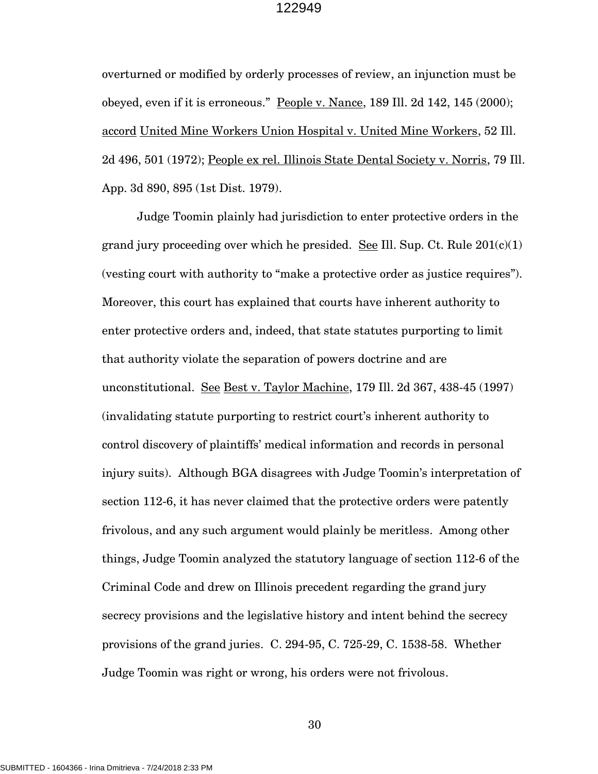overturned or modified by orderly processes of review, an injunction must be obeyed, even if it is erroneous." People v. Nance, 189 Ill. 2d 142, 145 (2000); accord United Mine Workers Union Hospital v. United Mine Workers, 52 Ill. 2d 496, 501 (1972); People ex rel. Illinois State Dental Society v. Norris, 79 Ill. App. 3d 890, 895 (1st Dist. 1979).

Judge Toomin plainly had jurisdiction to enter protective orders in the grand jury proceeding over which he presided. See Ill. Sup. Ct. Rule  $201(c)(1)$ (vesting court with authority to "make a protective order as justice requires"). Moreover, this court has explained that courts have inherent authority to enter protective orders and, indeed, that state statutes purporting to limit that authority violate the separation of powers doctrine and are unconstitutional. See Best v. Taylor Machine, 179 Ill. 2d 367, 438-45 (1997) (invalidating statute purporting to restrict court's inherent authority to control discovery of plaintiffs' medical information and records in personal injury suits). Although BGA disagrees with Judge Toomin's interpretation of section 112-6, it has never claimed that the protective orders were patently frivolous, and any such argument would plainly be meritless. Among other things, Judge Toomin analyzed the statutory language of section 112-6 of the Criminal Code and drew on Illinois precedent regarding the grand jury secrecy provisions and the legislative history and intent behind the secrecy provisions of the grand juries. C. 294-95, C. 725-29, C. 1538-58. Whether Judge Toomin was right or wrong, his orders were not frivolous.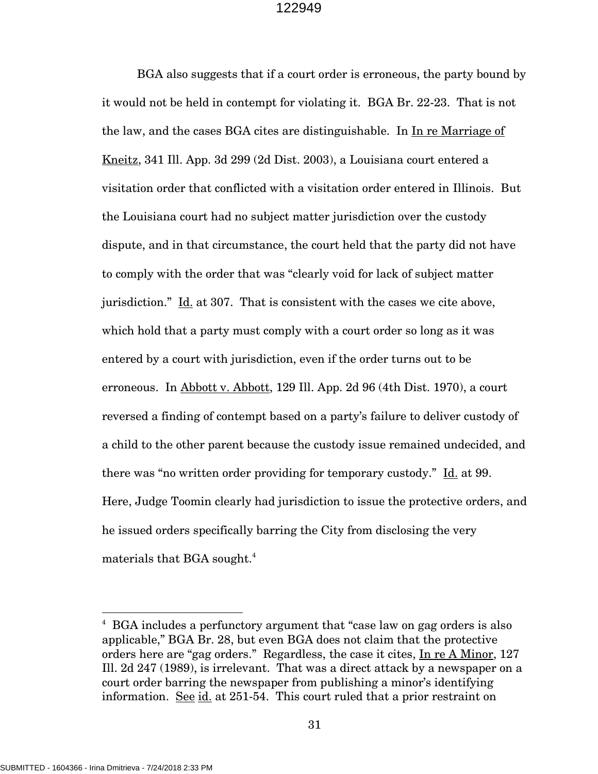BGA also suggests that if a court order is erroneous, the party bound by it would not be held in contempt for violating it. BGA Br. 22-23. That is not the law, and the cases BGA cites are distinguishable. In In re Marriage of Kneitz, 341 Ill. App. 3d 299 (2d Dist. 2003), a Louisiana court entered a visitation order that conflicted with a visitation order entered in Illinois. But the Louisiana court had no subject matter jurisdiction over the custody dispute, and in that circumstance, the court held that the party did not have to comply with the order that was "clearly void for lack of subject matter jurisdiction." Id. at 307. That is consistent with the cases we cite above, which hold that a party must comply with a court order so long as it was entered by a court with jurisdiction, even if the order turns out to be erroneous. In Abbott v. Abbott, 129 Ill. App. 2d 96 (4th Dist. 1970), a court reversed a finding of contempt based on a party's failure to deliver custody of a child to the other parent because the custody issue remained undecided, and there was "no written order providing for temporary custody." Id. at 99. Here, Judge Toomin clearly had jurisdiction to issue the protective orders, and he issued orders specifically barring the City from disclosing the very materials that BGA sought.<sup>4</sup>

l

<sup>&</sup>lt;sup>4</sup> BGA includes a perfunctory argument that "case law on gag orders is also applicable," BGA Br. 28, but even BGA does not claim that the protective orders here are "gag orders." Regardless, the case it cites, In re A Minor, 127 Ill. 2d 247 (1989), is irrelevant. That was a direct attack by a newspaper on a court order barring the newspaper from publishing a minor's identifying information. See id. at 251-54. This court ruled that a prior restraint on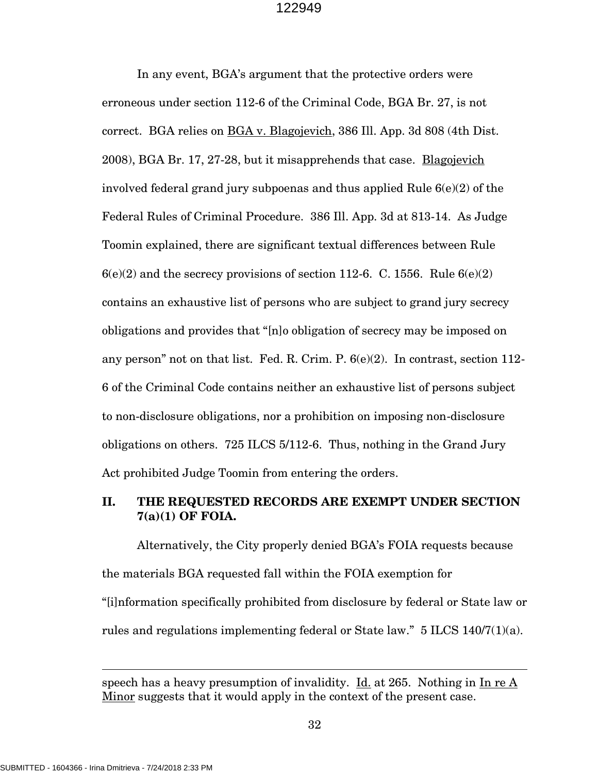In any event, BGA's argument that the protective orders were erroneous under section 112-6 of the Criminal Code, BGA Br. 27, is not correct. BGA relies on BGA v. Blagojevich, 386 Ill. App. 3d 808 (4th Dist. 2008), BGA Br. 17, 27-28, but it misapprehends that case. Blagojevich involved federal grand jury subpoenas and thus applied Rule 6(e)(2) of the Federal Rules of Criminal Procedure. 386 Ill. App. 3d at 813-14. As Judge Toomin explained, there are significant textual differences between Rule  $6(e)(2)$  and the secrecy provisions of section 112-6. C. 1556. Rule  $6(e)(2)$ contains an exhaustive list of persons who are subject to grand jury secrecy obligations and provides that "[n]o obligation of secrecy may be imposed on any person" not on that list. Fed. R. Crim. P. 6(e)(2). In contrast, section 112- 6 of the Criminal Code contains neither an exhaustive list of persons subject to non-disclosure obligations, nor a prohibition on imposing non-disclosure obligations on others. 725 ILCS 5/112-6. Thus, nothing in the Grand Jury Act prohibited Judge Toomin from entering the orders.

# **II. THE REQUESTED RECORDS ARE EXEMPT UNDER SECTION 7(a)(1) OF FOIA.**

Alternatively, the City properly denied BGA's FOIA requests because the materials BGA requested fall within the FOIA exemption for "[i]nformation specifically prohibited from disclosure by federal or State law or rules and regulations implementing federal or State law." 5 ILCS 140/7(1)(a).

speech has a heavy presumption of invalidity. Id. at 265. Nothing in In re A Minor suggests that it would apply in the context of the present case.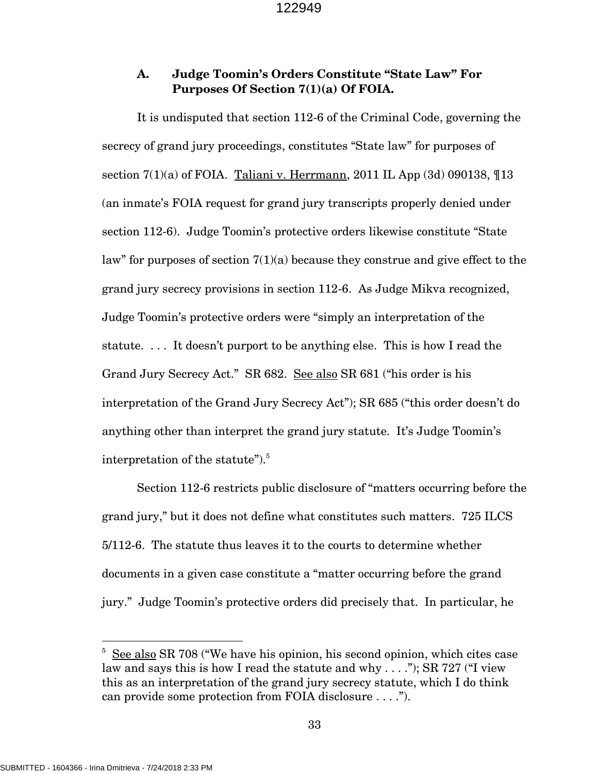# **A. Judge Toomin's Orders Constitute "State Law" For Purposes Of Section 7(1)(a) Of FOIA.**

It is undisputed that section 112-6 of the Criminal Code, governing the secrecy of grand jury proceedings, constitutes "State law" for purposes of section  $7(1)(a)$  of FOIA. Taliani v. Herrmann, 2011 IL App  $(3d)$  090138,  $\P$ 13 (an inmate's FOIA request for grand jury transcripts properly denied under section 112-6). Judge Toomin's protective orders likewise constitute "State law" for purposes of section  $7(1)(a)$  because they construe and give effect to the grand jury secrecy provisions in section 112-6. As Judge Mikva recognized, Judge Toomin's protective orders were "simply an interpretation of the statute. . . . It doesn't purport to be anything else. This is how I read the Grand Jury Secrecy Act." SR 682. See also SR 681 ("his order is his interpretation of the Grand Jury Secrecy Act"); SR 685 ("this order doesn't do anything other than interpret the grand jury statute. It's Judge Toomin's interpretation of the statute").<sup>5</sup>

Section 112-6 restricts public disclosure of "matters occurring before the grand jury," but it does not define what constitutes such matters. 725 ILCS 5/112-6. The statute thus leaves it to the courts to determine whether documents in a given case constitute a "matter occurring before the grand jury." Judge Toomin's protective orders did precisely that. In particular, he

l

<sup>&</sup>lt;sup>5</sup> See also SR 708 ("We have his opinion, his second opinion, which cites case law and says this is how I read the statute and why  $\dots$ "); SR 727 ("I view this as an interpretation of the grand jury secrecy statute, which I do think can provide some protection from FOIA disclosure . . . .").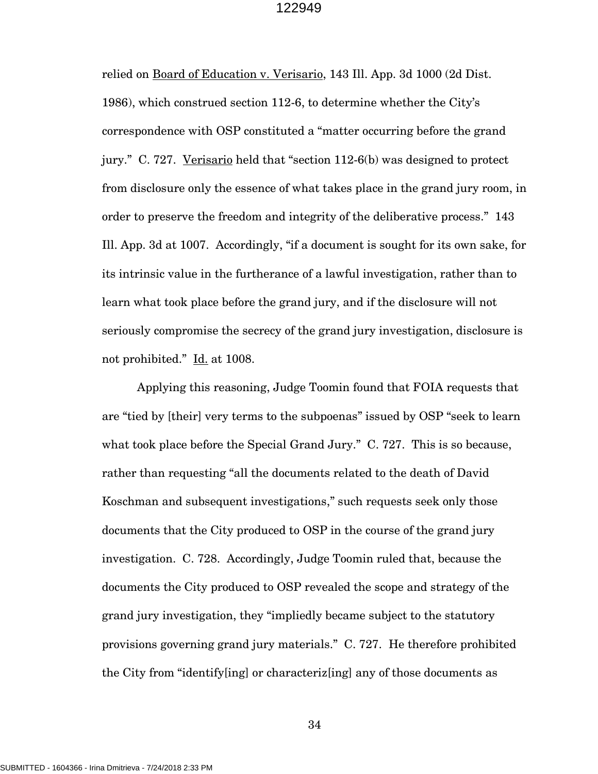relied on Board of Education v. Verisario, 143 Ill. App. 3d 1000 (2d Dist. 1986), which construed section 112-6, to determine whether the City's correspondence with OSP constituted a "matter occurring before the grand jury." C. 727. Verisario held that "section 112-6(b) was designed to protect from disclosure only the essence of what takes place in the grand jury room, in order to preserve the freedom and integrity of the deliberative process." 143 Ill. App. 3d at 1007. Accordingly, "if a document is sought for its own sake, for its intrinsic value in the furtherance of a lawful investigation, rather than to learn what took place before the grand jury, and if the disclosure will not seriously compromise the secrecy of the grand jury investigation, disclosure is not prohibited." Id. at 1008.

Applying this reasoning, Judge Toomin found that FOIA requests that are "tied by [their] very terms to the subpoenas" issued by OSP "seek to learn what took place before the Special Grand Jury." C. 727. This is so because, rather than requesting "all the documents related to the death of David Koschman and subsequent investigations," such requests seek only those documents that the City produced to OSP in the course of the grand jury investigation. C. 728. Accordingly, Judge Toomin ruled that, because the documents the City produced to OSP revealed the scope and strategy of the grand jury investigation, they "impliedly became subject to the statutory provisions governing grand jury materials." C. 727. He therefore prohibited the City from "identify[ing] or characteriz[ing] any of those documents as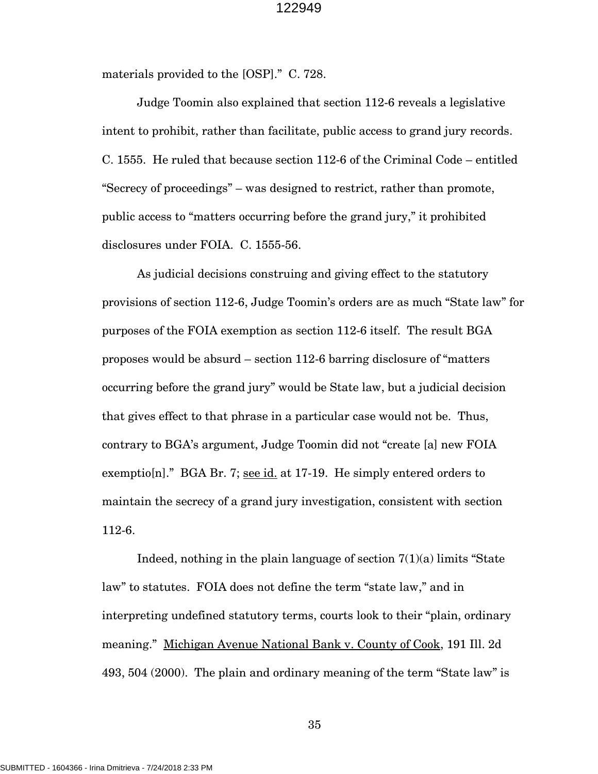materials provided to the [OSP]." C. 728.

Judge Toomin also explained that section 112-6 reveals a legislative intent to prohibit, rather than facilitate, public access to grand jury records. C. 1555. He ruled that because section 112-6 of the Criminal Code – entitled "Secrecy of proceedings" – was designed to restrict, rather than promote, public access to "matters occurring before the grand jury," it prohibited disclosures under FOIA. C. 1555-56.

As judicial decisions construing and giving effect to the statutory provisions of section 112-6, Judge Toomin's orders are as much "State law" for purposes of the FOIA exemption as section 112-6 itself. The result BGA proposes would be absurd – section 112-6 barring disclosure of "matters occurring before the grand jury" would be State law, but a judicial decision that gives effect to that phrase in a particular case would not be. Thus, contrary to BGA's argument, Judge Toomin did not "create [a] new FOIA exemptio[n]." BGA Br. 7; see id. at 17-19. He simply entered orders to maintain the secrecy of a grand jury investigation, consistent with section 112-6.

Indeed, nothing in the plain language of section  $7(1)(a)$  limits "State" law" to statutes. FOIA does not define the term "state law," and in interpreting undefined statutory terms, courts look to their "plain, ordinary meaning." Michigan Avenue National Bank v. County of Cook, 191 Ill. 2d 493, 504 (2000). The plain and ordinary meaning of the term "State law" is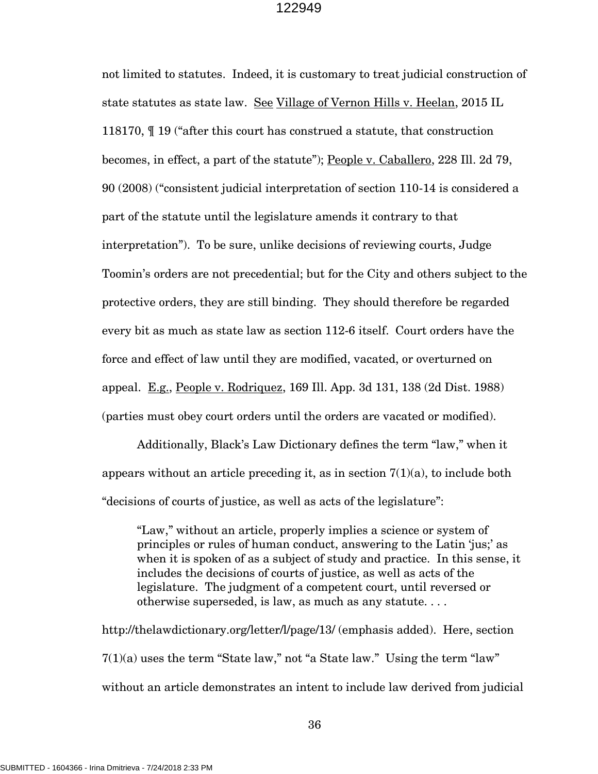not limited to statutes. Indeed, it is customary to treat judicial construction of state statutes as state law. See Village of Vernon Hills v. Heelan, 2015 IL 118170, ¶ 19 ("after this court has construed a statute, that construction becomes, in effect, a part of the statute"); People v. Caballero, 228 Ill. 2d 79, 90 (2008) ("consistent judicial interpretation of section 110-14 is considered a part of the statute until the legislature amends it contrary to that interpretation"). To be sure, unlike decisions of reviewing courts, Judge Toomin's orders are not precedential; but for the City and others subject to the protective orders, they are still binding. They should therefore be regarded every bit as much as state law as section 112-6 itself. Court orders have the force and effect of law until they are modified, vacated, or overturned on appeal. E.g., People v. Rodriquez, 169 Ill. App. 3d 131, 138 (2d Dist. 1988) (parties must obey court orders until the orders are vacated or modified).

Additionally, Black's Law Dictionary defines the term "law," when it appears without an article preceding it, as in section  $7(1)(a)$ , to include both "decisions of courts of justice, as well as acts of the legislature":

"Law," without an article, properly implies a science or system of principles or rules of human conduct, answering to the Latin 'jus;' as when it is spoken of as a subject of study and practice. In this sense, it includes the decisions of courts of justice, as well as acts of the legislature. The judgment of a competent court, until reversed or otherwise superseded, is law, as much as any statute. . . .

http://thelawdictionary.org/letter/l/page/13/ (emphasis added). Here, section 7(1)(a) uses the term "State law," not "a State law." Using the term "law" without an article demonstrates an intent to include law derived from judicial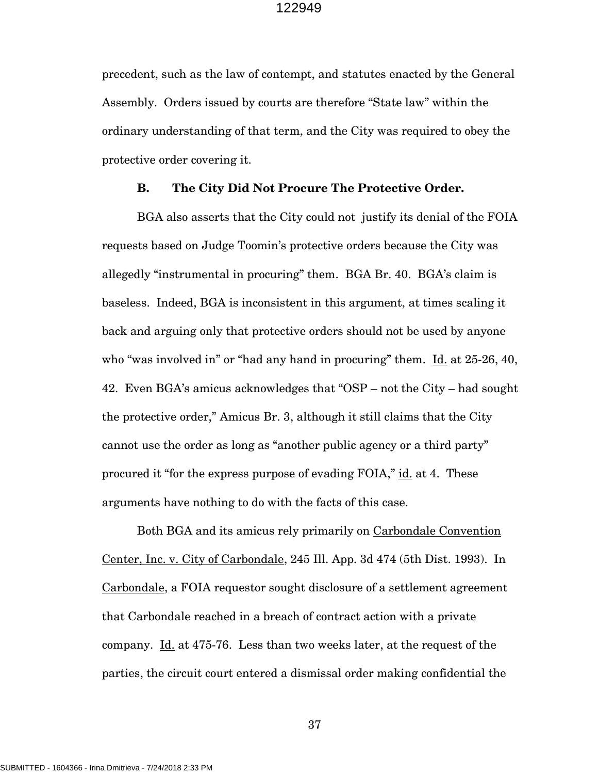precedent, such as the law of contempt, and statutes enacted by the General Assembly. Orders issued by courts are therefore "State law" within the ordinary understanding of that term, and the City was required to obey the protective order covering it.

### **B. The City Did Not Procure The Protective Order.**

BGA also asserts that the City could not justify its denial of the FOIA requests based on Judge Toomin's protective orders because the City was allegedly "instrumental in procuring" them. BGA Br. 40. BGA's claim is baseless. Indeed, BGA is inconsistent in this argument, at times scaling it back and arguing only that protective orders should not be used by anyone who "was involved in" or "had any hand in procuring" them.  $\underline{Id}$  at 25-26, 40, 42. Even BGA's amicus acknowledges that "OSP – not the City – had sought the protective order," Amicus Br. 3, although it still claims that the City cannot use the order as long as "another public agency or a third party" procured it "for the express purpose of evading FOIA," id. at 4. These arguments have nothing to do with the facts of this case.

Both BGA and its amicus rely primarily on Carbondale Convention Center, Inc. v. City of Carbondale, 245 Ill. App. 3d 474 (5th Dist. 1993). In Carbondale, a FOIA requestor sought disclosure of a settlement agreement that Carbondale reached in a breach of contract action with a private company. Id. at 475-76. Less than two weeks later, at the request of the parties, the circuit court entered a dismissal order making confidential the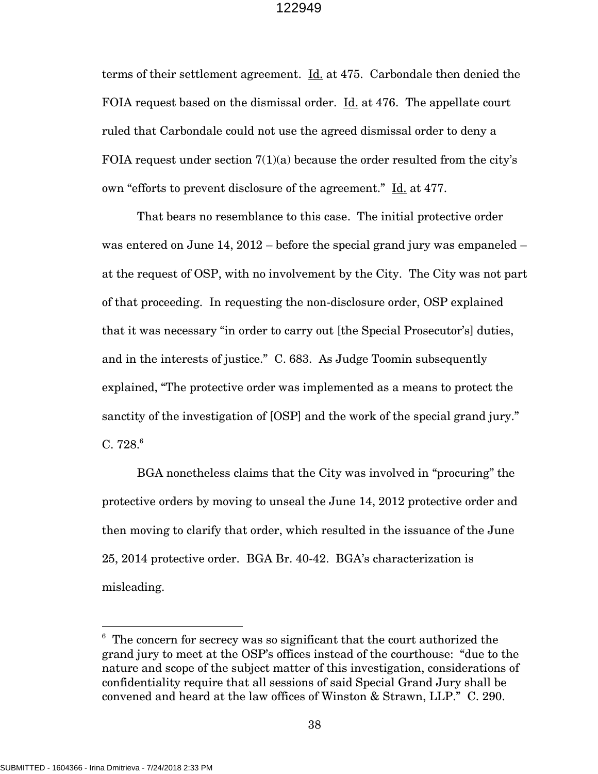terms of their settlement agreement. Id. at 475. Carbondale then denied the FOIA request based on the dismissal order. Id. at 476. The appellate court ruled that Carbondale could not use the agreed dismissal order to deny a FOIA request under section  $7(1)(a)$  because the order resulted from the city's own "efforts to prevent disclosure of the agreement." Id. at 477.

That bears no resemblance to this case. The initial protective order was entered on June 14, 2012 – before the special grand jury was empaneled – at the request of OSP, with no involvement by the City. The City was not part of that proceeding. In requesting the non-disclosure order, OSP explained that it was necessary "in order to carry out [the Special Prosecutor's] duties, and in the interests of justice." C. 683. As Judge Toomin subsequently explained, "The protective order was implemented as a means to protect the sanctity of the investigation of [OSP] and the work of the special grand jury."  $C. 728<sup>6</sup>$ 

BGA nonetheless claims that the City was involved in "procuring" the protective orders by moving to unseal the June 14, 2012 protective order and then moving to clarify that order, which resulted in the issuance of the June 25, 2014 protective order. BGA Br. 40-42. BGA's characterization is misleading.

<sup>&</sup>lt;sup>6</sup> The concern for secrecy was so significant that the court authorized the grand jury to meet at the OSP's offices instead of the courthouse: "due to the nature and scope of the subject matter of this investigation, considerations of confidentiality require that all sessions of said Special Grand Jury shall be convened and heard at the law offices of Winston & Strawn, LLP." C. 290.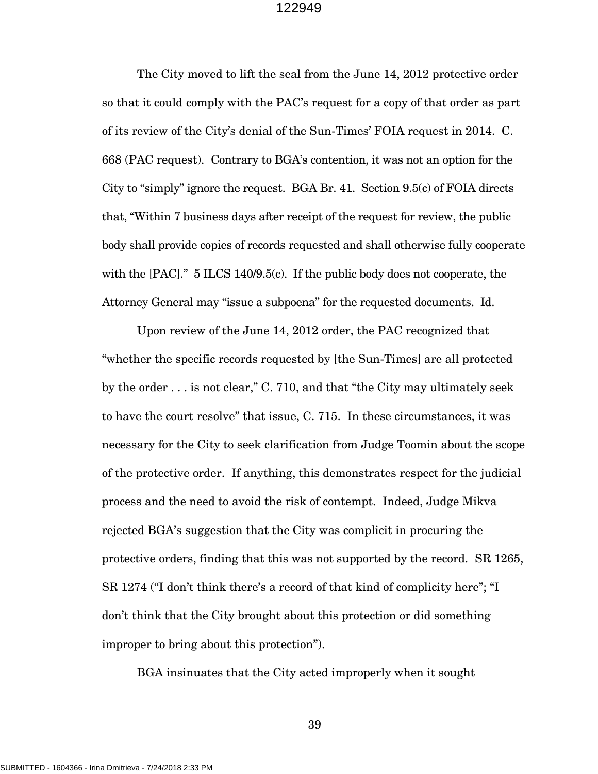The City moved to lift the seal from the June 14, 2012 protective order so that it could comply with the PAC's request for a copy of that order as part of its review of the City's denial of the Sun-Times' FOIA request in 2014. C. 668 (PAC request). Contrary to BGA's contention, it was not an option for the City to "simply" ignore the request. BGA Br. 41. Section 9.5(c) of FOIA directs that, "Within 7 business days after receipt of the request for review, the public body shall provide copies of records requested and shall otherwise fully cooperate with the [PAC]." 5 ILCS 140/9.5(c). If the public body does not cooperate, the Attorney General may "issue a subpoena" for the requested documents. Id.

Upon review of the June 14, 2012 order, the PAC recognized that "whether the specific records requested by [the Sun-Times] are all protected by the order . . . is not clear," C. 710, and that "the City may ultimately seek to have the court resolve" that issue, C. 715. In these circumstances, it was necessary for the City to seek clarification from Judge Toomin about the scope of the protective order. If anything, this demonstrates respect for the judicial process and the need to avoid the risk of contempt. Indeed, Judge Mikva rejected BGA's suggestion that the City was complicit in procuring the protective orders, finding that this was not supported by the record. SR 1265, SR 1274 ("I don't think there's a record of that kind of complicity here"; "I don't think that the City brought about this protection or did something improper to bring about this protection").

BGA insinuates that the City acted improperly when it sought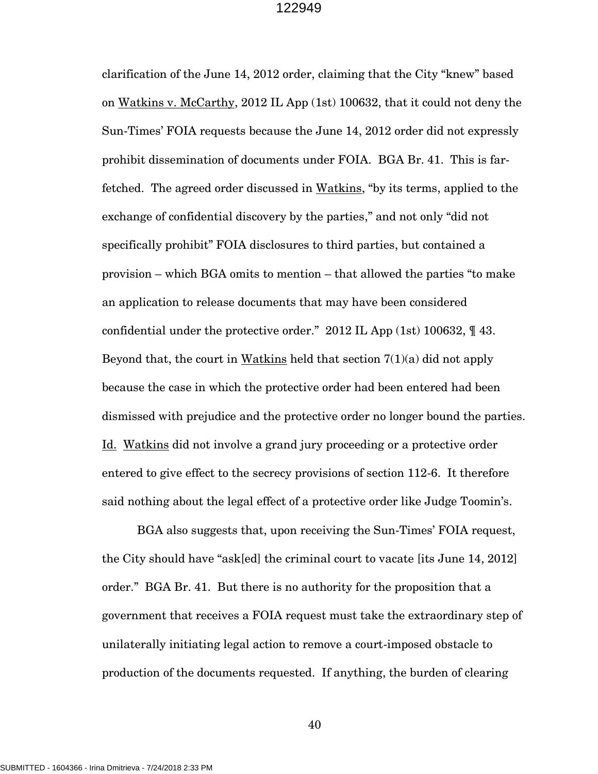clarification of the June 14, 2012 order, claiming that the City "knew" based on Watkins v. McCarthy, 2012 IL App (1st) 100632, that it could not deny the Sun-Times' FOIA requests because the June 14, 2012 order did not expressly prohibit dissemination of documents under FOIA. BGA Br. 41. This is farfetched. The agreed order discussed in Watkins, "by its terms, applied to the exchange of confidential discovery by the parties," and not only "did not specifically prohibit" FOIA disclosures to third parties, but contained a provision – which BGA omits to mention – that allowed the parties "to make an application to release documents that may have been considered confidential under the protective order." 2012 IL App (1st) 100632, ¶ 43. Beyond that, the court in Watkins held that section  $7(1)(a)$  did not apply because the case in which the protective order had been entered had been dismissed with prejudice and the protective order no longer bound the parties. Id. Watkins did not involve a grand jury proceeding or a protective order entered to give effect to the secrecy provisions of section 112-6. It therefore said nothing about the legal effect of a protective order like Judge Toomin's.

BGA also suggests that, upon receiving the Sun-Times' FOIA request, the City should have "ask[ed] the criminal court to vacate [its June 14, 2012] order." BGA Br. 41. But there is no authority for the proposition that a government that receives a FOIA request must take the extraordinary step of unilaterally initiating legal action to remove a court-imposed obstacle to production of the documents requested. If anything, the burden of clearing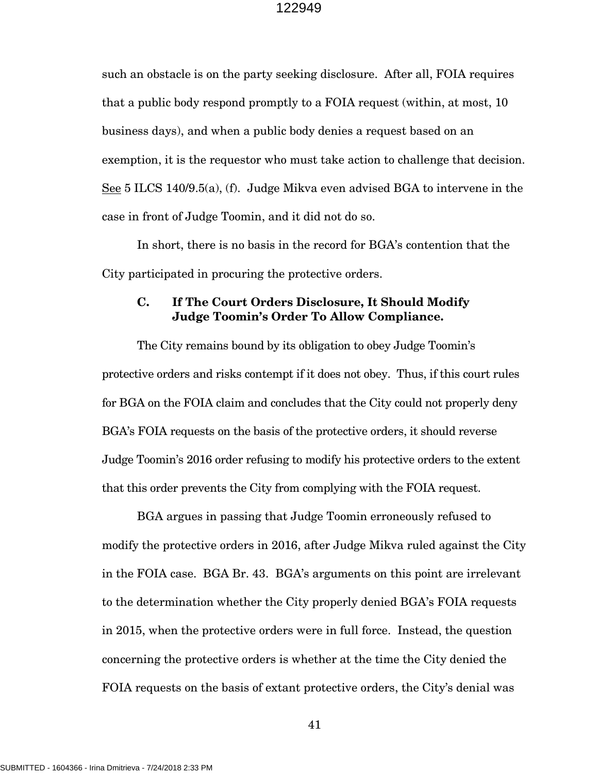such an obstacle is on the party seeking disclosure. After all, FOIA requires that a public body respond promptly to a FOIA request (within, at most, 10 business days), and when a public body denies a request based on an exemption, it is the requestor who must take action to challenge that decision. See 5 ILCS 140/9.5(a), (f). Judge Mikva even advised BGA to intervene in the case in front of Judge Toomin, and it did not do so.

In short, there is no basis in the record for BGA's contention that the City participated in procuring the protective orders.

# **C. If The Court Orders Disclosure, It Should Modify Judge Toomin's Order To Allow Compliance.**

The City remains bound by its obligation to obey Judge Toomin's protective orders and risks contempt if it does not obey. Thus, if this court rules for BGA on the FOIA claim and concludes that the City could not properly deny BGA's FOIA requests on the basis of the protective orders, it should reverse Judge Toomin's 2016 order refusing to modify his protective orders to the extent that this order prevents the City from complying with the FOIA request.

BGA argues in passing that Judge Toomin erroneously refused to modify the protective orders in 2016, after Judge Mikva ruled against the City in the FOIA case. BGA Br. 43. BGA's arguments on this point are irrelevant to the determination whether the City properly denied BGA's FOIA requests in 2015, when the protective orders were in full force. Instead, the question concerning the protective orders is whether at the time the City denied the FOIA requests on the basis of extant protective orders, the City's denial was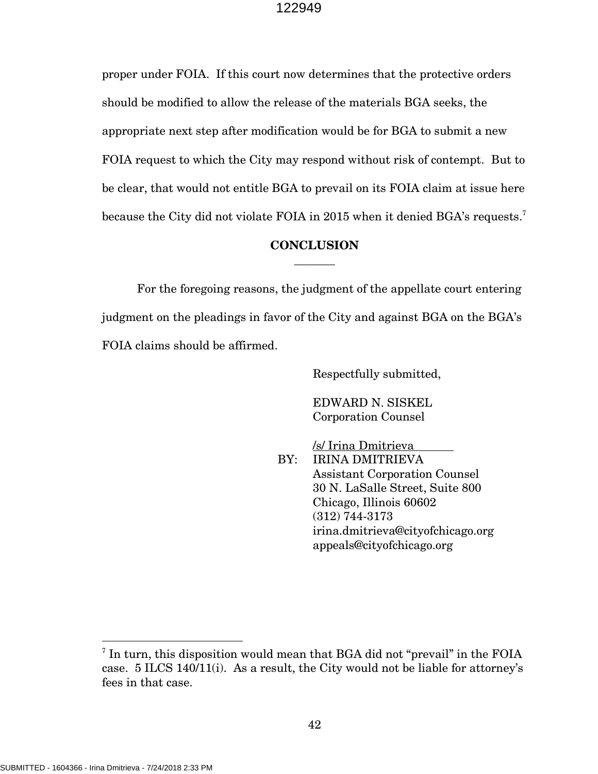proper under FOIA. If this court now determines that the protective orders should be modified to allow the release of the materials BGA seeks, the appropriate next step after modification would be for BGA to submit a new FOIA request to which the City may respond without risk of contempt. But to be clear, that would not entitle BGA to prevail on its FOIA claim at issue here because the City did not violate FOIA in 2015 when it denied BGA's requests.<sup>7</sup>

# **CONCLUSION \_\_\_\_\_\_\_**

 For the foregoing reasons, the judgment of the appellate court entering judgment on the pleadings in favor of the City and against BGA on the BGA's FOIA claims should be affirmed.

Respectfully submitted,

 EDWARD N. SISKEL Corporation Counsel

 /s/ Irina Dmitrieva BY: IRINA DMITRIEVA Assistant Corporation Counsel 30 N. LaSalle Street, Suite 800 Chicago, Illinois 60602 (312) 744-3173 irina.dmitrieva@cityofchicago.org appeals@cityofchicago.org

l

<sup>&</sup>lt;sup>7</sup> In turn, this disposition would mean that BGA did not "prevail" in the FOIA case. 5 ILCS 140/11(i). As a result, the City would not be liable for attorney's fees in that case.